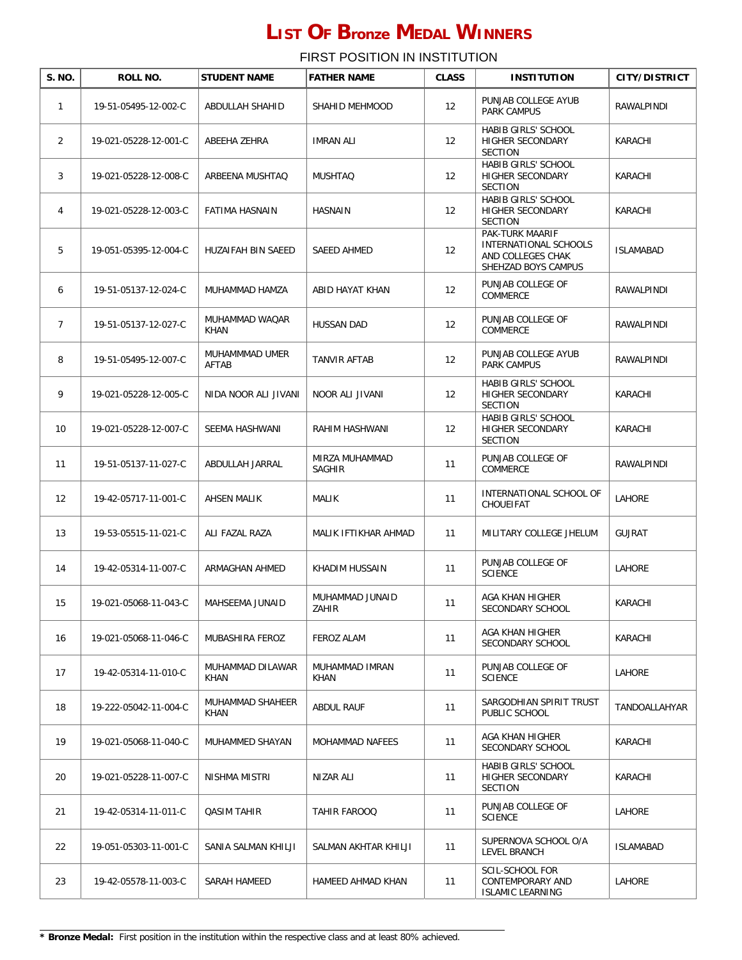| S. NO.         | ROLL NO.              | <b>STUDENT NAME</b>             | <b>FATHER NAME</b>       | <b>CLASS</b>      | <b>INSTITUTION</b>                                                                          | <b>CITY/DISTRICT</b> |
|----------------|-----------------------|---------------------------------|--------------------------|-------------------|---------------------------------------------------------------------------------------------|----------------------|
| $\mathbf{1}$   | 19-51-05495-12-002-C  | ABDULLAH SHAHID                 | SHAHID MEHMOOD           | 12                | PUNJAB COLLEGE AYUB<br><b>PARK CAMPUS</b>                                                   | RAWALPINDI           |
| $\overline{2}$ | 19-021-05228-12-001-C | ABEEHA ZEHRA                    | <b>IMRAN ALI</b>         | $12 \overline{ }$ | HABIB GIRLS' SCHOOL<br>HIGHER SECONDARY<br><b>SECTION</b>                                   | KARACHI              |
| 3              | 19-021-05228-12-008-C | ARBEENA MUSHTAQ                 | <b>MUSHTAQ</b>           | $12 \overline{ }$ | HABIB GIRLS' SCHOOL<br>HIGHER SECONDARY<br><b>SECTION</b>                                   | KARACHI              |
| 4              | 19-021-05228-12-003-C | <b>FATIMA HASNAIN</b>           | <b>HASNAIN</b>           | 12                | HABIB GIRLS' SCHOOL<br><b>HIGHER SECONDARY</b><br><b>SECTION</b>                            | KARACHI              |
| 5              | 19-051-05395-12-004-C | HUZAIFAH BIN SAEED              | SAEED AHMED              | 12                | <b>PAK-TURK MAARIF</b><br>INTERNATIONAL SCHOOLS<br>AND COLLEGES CHAK<br>SHEHZAD BOYS CAMPUS | <b>ISLAMABAD</b>     |
| 6              | 19-51-05137-12-024-C  | MUHAMMAD HAMZA                  | ABID HAYAT KHAN          | 12                | PUNJAB COLLEGE OF<br>COMMERCE                                                               | RAWALPINDI           |
| $\overline{7}$ | 19-51-05137-12-027-C  | MUHAMMAD WAQAR<br><b>KHAN</b>   | <b>HUSSAN DAD</b>        | 12                | PUNJAB COLLEGE OF<br>COMMERCE                                                               | RAWALPINDI           |
| 8              | 19-51-05495-12-007-C  | MUHAMMMAD UMER<br>AFTAB         | <b>TANVIR AFTAB</b>      | $12 \overline{ }$ | PUNJAB COLLEGE AYUB<br><b>PARK CAMPUS</b>                                                   | RAWALPINDI           |
| 9              | 19-021-05228-12-005-C | NIDA NOOR ALI JIVANI            | NOOR ALI JIVANI          | $12 \overline{ }$ | HABIB GIRLS' SCHOOL<br>HIGHER SECONDARY<br><b>SECTION</b>                                   | KARACHI              |
| 10             | 19-021-05228-12-007-C | SEEMA HASHWANI                  | RAHIM HASHWANI           | $12 \overline{ }$ | HABIB GIRLS' SCHOOL<br>HIGHER SECONDARY<br><b>SECTION</b>                                   | KARACHI              |
| 11             | 19-51-05137-11-027-C  | ABDULLAH JARRAL                 | MIRZA MUHAMMAD<br>SAGHIR | 11                | PUNJAB COLLEGE OF<br>COMMERCE                                                               | RAWALPINDI           |
| 12             | 19-42-05717-11-001-C  | <b>AHSEN MALIK</b>              | MALIK                    | 11                | INTERNATIONAL SCHOOL OF<br>CHOUEIFAT                                                        | LAHORE               |
| 13             | 19-53-05515-11-021-C  | ALI FAZAL RAZA                  | MALIK IFTIKHAR AHMAD     | 11                | MILITARY COLLEGE JHELUM                                                                     | <b>GUJRAT</b>        |
| 14             | 19-42-05314-11-007-C  | ARMAGHAN AHMED                  | KHADIM HUSSAIN           | 11                | PUNJAB COLLEGE OF<br><b>SCIENCE</b>                                                         | LAHORE               |
| 15             | 19-021-05068-11-043-C | MAHSEEMA JUNAID                 | MUHAMMAD JUNAID<br>ZAHIR | 11                | AGA KHAN HIGHER<br>SECONDARY SCHOOL                                                         | KARACHI              |
| 16             | 19-021-05068-11-046-C | MUBASHIRA FEROZ                 | <b>FEROZ ALAM</b>        | 11                | AGA KHAN HIGHER<br>SECONDARY SCHOOL                                                         | KARACHI              |
| 17             | 19-42-05314-11-010-C  | MUHAMMAD DILAWAR<br><b>KHAN</b> | MUHAMMAD IMRAN<br>KHAN   | 11                | PUNJAB COLLEGE OF<br><b>SCIENCE</b>                                                         | LAHORE               |
| 18             | 19-222-05042-11-004-C | MUHAMMAD SHAHEER<br><b>KHAN</b> | ABDUL RAUF               | 11                | SARGODHIAN SPIRIT TRUST<br>PUBLIC SCHOOL                                                    | TANDOALLAHYAR        |
| 19             | 19-021-05068-11-040-C | MUHAMMED SHAYAN                 | MOHAMMAD NAFEES          | 11                | AGA KHAN HIGHER<br>SECONDARY SCHOOL                                                         | KARACHI              |
| 20             | 19-021-05228-11-007-C | NISHMA MISTRI                   | NIZAR ALI                | 11                | HABIB GIRLS' SCHOOL<br>HIGHER SECONDARY<br><b>SECTION</b>                                   | KARACHI              |
| 21             | 19-42-05314-11-011-C  | <b>QASIM TAHIR</b>              | TAHIR FAROOQ             | 11                | PUNJAB COLLEGE OF<br><b>SCIENCE</b>                                                         | LAHORE               |
| 22             | 19-051-05303-11-001-C | SANIA SALMAN KHILJI             | SALMAN AKHTAR KHILJI     | 11                | SUPERNOVA SCHOOL O/A<br>LEVEL BRANCH                                                        | <b>ISLAMABAD</b>     |
| 23             | 19-42-05578-11-003-C  | SARAH HAMEED                    | HAMEED AHMAD KHAN        | 11                | <b>SCIL-SCHOOL FOR</b><br>CONTEMPORARY AND<br><b>ISLAMIC LEARNING</b>                       | LAHORE               |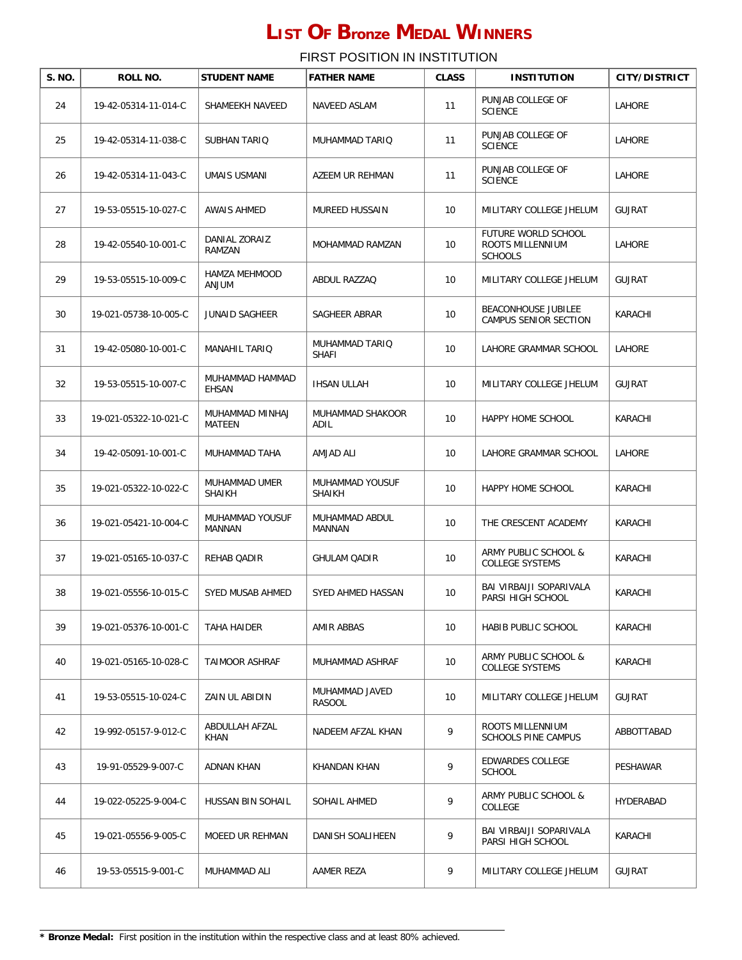| S. NO. | ROLL NO.              | <b>STUDENT NAME</b>              | <b>FATHER NAME</b>               | <b>CLASS</b> | <b>INSTITUTION</b>                                        | <b>CITY/DISTRICT</b> |
|--------|-----------------------|----------------------------------|----------------------------------|--------------|-----------------------------------------------------------|----------------------|
| 24     | 19-42-05314-11-014-C  | SHAMEEKH NAVEED                  | NAVEED ASLAM                     | 11           | PUNJAB COLLEGE OF<br><b>SCIENCE</b>                       | LAHORE               |
| 25     | 19-42-05314-11-038-C  | SUBHAN TARIQ                     | MUHAMMAD TARIO                   | 11           | PUNJAB COLLEGE OF<br><b>SCIENCE</b>                       | <b>LAHORE</b>        |
| 26     | 19-42-05314-11-043-C  | UMAIS USMANI                     | AZEEM UR REHMAN                  | 11           | PUNJAB COLLEGE OF<br><b>SCIENCE</b>                       | LAHORE               |
| 27     | 19-53-05515-10-027-C  | AWAIS AHMED                      | MUREED HUSSAIN                   | 10           | MILITARY COLLEGE JHELUM                                   | <b>GUJRAT</b>        |
| 28     | 19-42-05540-10-001-C  | DANIAL ZORAIZ<br>RAMZAN          | MOHAMMAD RAMZAN                  | 10           | FUTURE WORLD SCHOOL<br>ROOTS MILLENNIUM<br><b>SCHOOLS</b> | LAHORE               |
| 29     | 19-53-05515-10-009-C  | <b>HAMZA MEHMOOD</b><br>ANJUM    | ABDUL RAZZAQ                     | 10           | MILITARY COLLEGE JHELUM                                   | <b>GUJRAT</b>        |
| 30     | 19-021-05738-10-005-C | <b>JUNAID SAGHEER</b>            | SAGHEER ABRAR                    | 10           | <b>BEACONHOUSE JUBILEE</b><br>CAMPUS SENIOR SECTION       | KARACHI              |
| 31     | 19-42-05080-10-001-C  | <b>MANAHIL TARIQ</b>             | MUHAMMAD TARIQ<br><b>SHAFI</b>   | 10           | LAHORE GRAMMAR SCHOOL                                     | <b>LAHORE</b>        |
| 32     | 19-53-05515-10-007-C  | MUHAMMAD HAMMAD<br>EHSAN         | <b>IHSAN ULLAH</b>               | 10           | MILITARY COLLEGE JHELUM                                   | <b>GUJRAT</b>        |
| 33     | 19-021-05322-10-021-C | MUHAMMAD MINHAJ<br>MATEEN        | MUHAMMAD SHAKOOR<br>ADIL         | 10           | HAPPY HOME SCHOOL                                         | KARACHI              |
| 34     | 19-42-05091-10-001-C  | MUHAMMAD TAHA                    | AMJAD ALI                        | 10           | LAHORE GRAMMAR SCHOOL                                     | LAHORE               |
| 35     | 19-021-05322-10-022-C | MUHAMMAD UMER<br>SHAIKH          | MUHAMMAD YOUSUF<br><b>SHAIKH</b> | 10           | HAPPY HOME SCHOOL                                         | KARACHI              |
| 36     | 19-021-05421-10-004-C | MUHAMMAD YOUSUF<br><b>MANNAN</b> | MUHAMMAD ABDUL<br>MANNAN         | 10           | THE CRESCENT ACADEMY                                      | KARACHI              |
| 37     | 19-021-05165-10-037-C | REHAB QADIR                      | <b>GHULAM QADIR</b>              | 10           | ARMY PUBLIC SCHOOL &<br><b>COLLEGE SYSTEMS</b>            | KARACHI              |
| 38     | 19-021-05556-10-015-C | SYED MUSAB AHMED                 | SYED AHMED HASSAN                | 10           | BAI VIRBAIJI SOPARIVALA<br>PARSI HIGH SCHOOL              | KARACHI              |
| 39     | 19-021-05376-10-001-C | TAHA HAIDER                      | AMIR ABBAS                       | 10           | HABIB PUBLIC SCHOOL                                       | KARACHI              |
| 40     | 19-021-05165-10-028-C | TAIMOOR ASHRAF                   | MUHAMMAD ASHRAF                  | 10           | ARMY PUBLIC SCHOOL &<br><b>COLLEGE SYSTEMS</b>            | KARACHI              |
| 41     | 19-53-05515-10-024-C  | ZAIN UL ABIDIN                   | MUHAMMAD JAVED<br>RASOOL         | 10           | MILITARY COLLEGE JHELUM                                   | <b>GUJRAT</b>        |
| 42     | 19-992-05157-9-012-C  | ABDULLAH AFZAL<br>KHAN           | NADEEM AFZAL KHAN                | 9            | ROOTS MILLENNIUM<br>SCHOOLS PINE CAMPUS                   | ABBOTTABAD           |
| 43     | 19-91-05529-9-007-C   | ADNAN KHAN                       | KHANDAN KHAN                     | 9            | EDWARDES COLLEGE<br><b>SCHOOL</b>                         | PESHAWAR             |
| 44     | 19-022-05225-9-004-C  | HUSSAN BIN SOHAIL                | SOHAIL AHMED                     | 9            | ARMY PUBLIC SCHOOL &<br>COLLEGE                           | HYDERABAD            |
| 45     | 19-021-05556-9-005-C  | MOEED UR REHMAN                  | DANISH SOALIHEEN                 | 9            | BAI VIRBAIJI SOPARIVALA<br>PARSI HIGH SCHOOL              | KARACHI              |
| 46     | 19-53-05515-9-001-C   | MUHAMMAD ALI                     | AAMER REZA                       | 9            | MILITARY COLLEGE JHELUM                                   | <b>GUJRAT</b>        |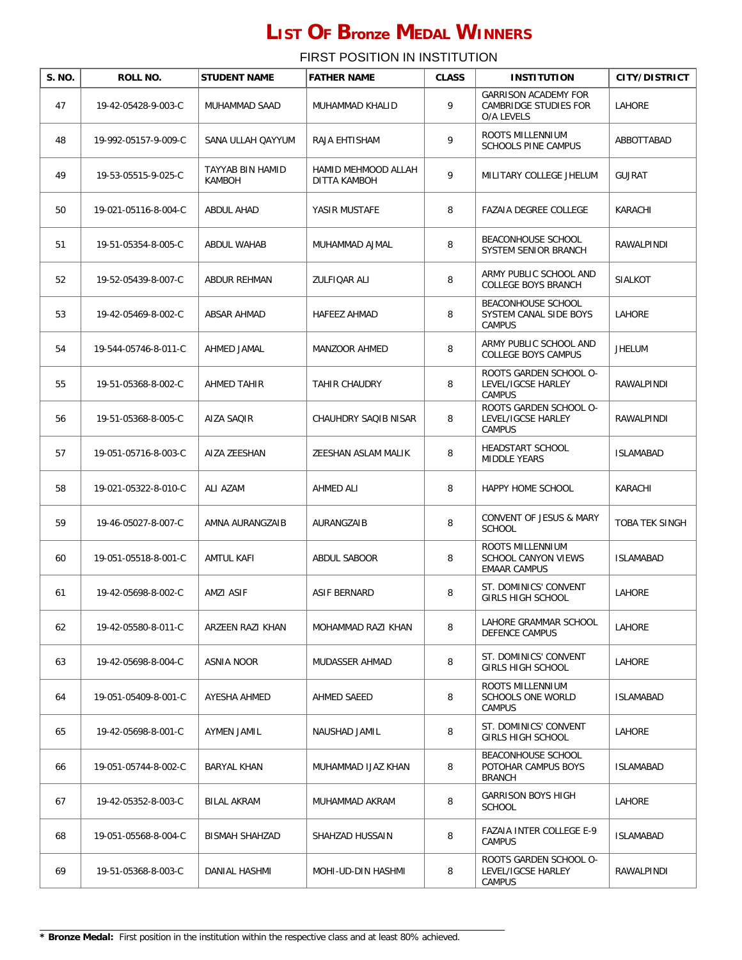| S. NO. | ROLL NO.             | <b>STUDENT NAME</b>        | <b>FATHER NAME</b>                  | <b>CLASS</b> | <b>INSTITUTION</b>                                                    | <b>CITY/DISTRICT</b> |
|--------|----------------------|----------------------------|-------------------------------------|--------------|-----------------------------------------------------------------------|----------------------|
| 47     | 19-42-05428-9-003-C  | MUHAMMAD SAAD              | MUHAMMAD KHALID                     | 9            | <b>GARRISON ACADEMY FOR</b><br>CAMBRIDGE STUDIES FOR<br>O/A LEVELS    | <b>LAHORE</b>        |
| 48     | 19-992-05157-9-009-C | SANA ULLAH QAYYUM          | RAJA EHTISHAM                       | 9            | ROOTS MILLENNIUM<br><b>SCHOOLS PINE CAMPUS</b>                        | ABBOTTABAD           |
| 49     | 19-53-05515-9-025-C  | TAYYAB BIN HAMID<br>KAMBOH | HAMID MEHMOOD ALLAH<br>DITTA KAMBOH | 9            | MILITARY COLLEGE JHELUM                                               | <b>GUJRAT</b>        |
| 50     | 19-021-05116-8-004-C | <b>ABDUL AHAD</b>          | YASIR MUSTAFE                       | 8            | <b>FAZAIA DEGREE COLLEGE</b>                                          | KARACHI              |
| 51     | 19-51-05354-8-005-C  | ABDUL WAHAB                | MUHAMMAD AJMAL                      | 8            | BEACONHOUSE SCHOOL<br>SYSTEM SENIOR BRANCH                            | RAWALPINDI           |
| 52     | 19-52-05439-8-007-C  | ABDUR REHMAN               | ZULFIQAR ALI                        | 8            | ARMY PUBLIC SCHOOL AND<br><b>COLLEGE BOYS BRANCH</b>                  | <b>SIALKOT</b>       |
| 53     | 19-42-05469-8-002-C  | ABSAR AHMAD                | HAFEEZ AHMAD                        | 8            | BEACONHOUSE SCHOOL<br>SYSTEM CANAL SIDE BOYS<br><b>CAMPUS</b>         | LAHORE               |
| 54     | 19-544-05746-8-011-C | AHMED JAMAL                | MANZOOR AHMED                       | 8            | ARMY PUBLIC SCHOOL AND<br>COLLEGE BOYS CAMPUS                         | <b>JHELUM</b>        |
| 55     | 19-51-05368-8-002-C  | AHMED TAHIR                | <b>TAHIR CHAUDRY</b>                | 8            | ROOTS GARDEN SCHOOL O-<br>LEVEL/IGCSE HARLEY<br><b>CAMPUS</b>         | RAWALPINDI           |
| 56     | 19-51-05368-8-005-C  | AIZA SAQIR                 | CHAUHDRY SAQIB NISAR                | 8            | ROOTS GARDEN SCHOOL O-<br>LEVEL/IGCSE HARLEY<br><b>CAMPUS</b>         | RAWALPINDI           |
| 57     | 19-051-05716-8-003-C | AIZA ZEESHAN               | ZEESHAN ASLAM MALIK                 | 8            | HEADSTART SCHOOL<br><b>MIDDLE YEARS</b>                               | <b>ISLAMABAD</b>     |
| 58     | 19-021-05322-8-010-C | ALI AZAM                   | AHMED ALI                           | 8            | HAPPY HOME SCHOOL                                                     | KARACHI              |
| 59     | 19-46-05027-8-007-C  | AMNA AURANGZAIB            | AURANGZAIB                          | 8            | CONVENT OF JESUS & MARY<br><b>SCHOOL</b>                              | TOBA TEK SINGH       |
| 60     | 19-051-05518-8-001-C | AMTUL KAFI                 | ABDUL SABOOR                        | 8            | ROOTS MILLENNIUM<br><b>SCHOOL CANYON VIEWS</b><br><b>EMAAR CAMPUS</b> | <b>ISLAMABAD</b>     |
| 61     | 19-42-05698-8-002-C  | AMZI ASIF                  | ASIF BERNARD                        | 8            | ST. DOMINICS' CONVENT<br><b>GIRLS HIGH SCHOOL</b>                     | LAHORE               |
| 62     | 19-42-05580-8-011-C  | ARZEEN RAZI KHAN           | MOHAMMAD RAZI KHAN                  | 8            | LAHORE GRAMMAR SCHOOL<br>DEFENCE CAMPUS                               | LAHORE               |
| 63     | 19-42-05698-8-004-C  | ASNIA NOOR                 | MUDASSER AHMAD                      | 8            | ST. DOMINICS' CONVENT<br><b>GIRLS HIGH SCHOOL</b>                     | LAHORE               |
| 64     | 19-051-05409-8-001-C | AYESHA AHMED               | AHMED SAEED                         | 8            | ROOTS MILLENNIUM<br><b>SCHOOLS ONE WORLD</b><br>CAMPUS                | <b>ISLAMABAD</b>     |
| 65     | 19-42-05698-8-001-C  | AYMEN JAMIL                | NAUSHAD JAMIL                       | 8            | ST. DOMINICS' CONVENT<br><b>GIRLS HIGH SCHOOL</b>                     | LAHORE               |
| 66     | 19-051-05744-8-002-C | <b>BARYAL KHAN</b>         | MUHAMMAD IJAZ KHAN                  | 8            | BEACONHOUSE SCHOOL<br>POTOHAR CAMPUS BOYS<br><b>BRANCH</b>            | <b>ISLAMABAD</b>     |
| 67     | 19-42-05352-8-003-C  | <b>BILAL AKRAM</b>         | MUHAMMAD AKRAM                      | 8            | <b>GARRISON BOYS HIGH</b><br><b>SCHOOL</b>                            | LAHORE               |
| 68     | 19-051-05568-8-004-C | <b>BISMAH SHAHZAD</b>      | SHAHZAD HUSSAIN                     | 8            | <b>FAZAIA INTER COLLEGE E-9</b><br><b>CAMPUS</b>                      | <b>ISLAMABAD</b>     |
| 69     | 19-51-05368-8-003-C  | DANIAL HASHMI              | MOHI-UD-DIN HASHMI                  | 8            | ROOTS GARDEN SCHOOL O-<br>LEVEL/IGCSE HARLEY<br>CAMPUS                | RAWALPINDI           |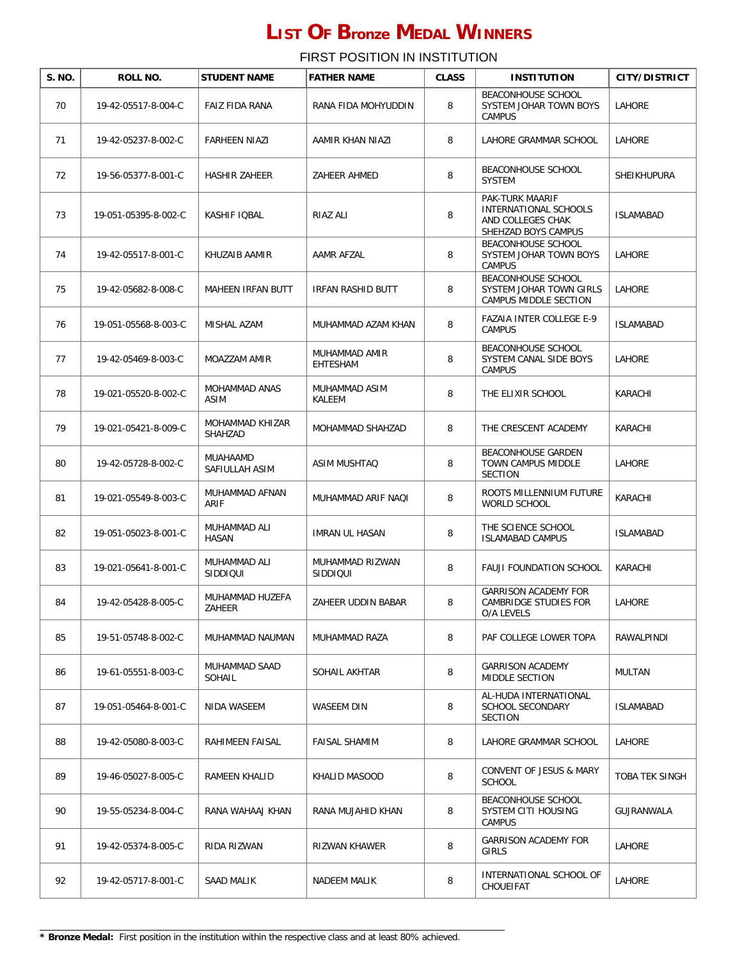| S. NO. | ROLL NO.             | <b>STUDENT NAME</b>            | <b>FATHER NAME</b>          | <b>CLASS</b> | <b>INSTITUTION</b>                                                                   | <b>CITY/DISTRICT</b> |
|--------|----------------------|--------------------------------|-----------------------------|--------------|--------------------------------------------------------------------------------------|----------------------|
| 70     | 19-42-05517-8-004-C  | FAIZ FIDA RANA                 | RANA FIDA MOHYUDDIN         | 8            | BEACONHOUSE SCHOOL<br>SYSTEM JOHAR TOWN BOYS<br><b>CAMPUS</b>                        | LAHORE               |
| 71     | 19-42-05237-8-002-C  | <b>FARHEEN NIAZI</b>           | AAMIR KHAN NIAZI            | 8            | LAHORE GRAMMAR SCHOOL                                                                | LAHORE               |
| 72     | 19-56-05377-8-001-C  | <b>HASHIR ZAHEER</b>           | ZAHEER AHMED                | 8            | BEACONHOUSE SCHOOL<br><b>SYSTEM</b>                                                  | <b>SHEIKHUPURA</b>   |
| 73     | 19-051-05395-8-002-C | KASHIF IQBAL                   | RIAZ ALI                    | 8            | PAK-TURK MAARIF<br>INTERNATIONAL SCHOOLS<br>AND COLLEGES CHAK<br>SHEHZAD BOYS CAMPUS | <b>ISLAMABAD</b>     |
| 74     | 19-42-05517-8-001-C  | KHUZAIB AAMIR                  | AAMR AFZAL                  | 8            | BEACONHOUSE SCHOOL<br>SYSTEM JOHAR TOWN BOYS<br><b>CAMPUS</b>                        | LAHORE               |
| 75     | 19-42-05682-8-008-C  | MAHEEN IRFAN BUTT              | IRFAN RASHID BUTT           | 8            | BEACONHOUSE SCHOOL<br>SYSTEM JOHAR TOWN GIRLS<br>CAMPUS MIDDLE SECTION               | LAHORE               |
| 76     | 19-051-05568-8-003-C | <b>MISHAL AZAM</b>             | MUHAMMAD AZAM KHAN          | 8            | <b>FAZAIA INTER COLLEGE E-9</b><br><b>CAMPUS</b>                                     | <b>ISLAMABAD</b>     |
| 77     | 19-42-05469-8-003-C  | MOAZZAM AMIR                   | MUHAMMAD AMIR<br>EHTESHAM   | 8            | BEACONHOUSE SCHOOL<br>SYSTEM CANAL SIDE BOYS<br><b>CAMPUS</b>                        | <b>LAHORE</b>        |
| 78     | 19-021-05520-8-002-C | MOHAMMAD ANAS<br>ASIM          | MUHAMMAD ASIM<br>KALEEM     | 8            | THE ELIXIR SCHOOL                                                                    | KARACHI              |
| 79     | 19-021-05421-8-009-C | MOHAMMAD KHIZAR<br>SHAHZAD     | MOHAMMAD SHAHZAD            | 8            | THE CRESCENT ACADEMY                                                                 | KARACHI              |
| 80     | 19-42-05728-8-002-C  | MUAHAAMD<br>SAFIULLAH ASIM     | ASIM MUSHTAQ                | 8            | BEACONHOUSE GARDEN<br>TOWN CAMPUS MIDDLE<br><b>SECTION</b>                           | LAHORE               |
| 81     | 19-021-05549-8-003-C | MUHAMMAD AFNAN<br>ARIF         | MUHAMMAD ARIF NAQI          | 8            | ROOTS MILLENNIUM FUTURE<br><b>WORLD SCHOOL</b>                                       | KARACHI              |
| 82     | 19-051-05023-8-001-C | MUHAMMAD ALI<br>HASAN          | <b>IMRAN UL HASAN</b>       | 8            | THE SCIENCE SCHOOL<br><b>ISLAMABAD CAMPUS</b>                                        | <b>ISLAMABAD</b>     |
| 83     | 19-021-05641-8-001-C | MUHAMMAD ALI<br>SIDDIQUI       | MUHAMMAD RIZWAN<br>SIDDIQUI | 8            | <b>FAUJI FOUNDATION SCHOOL</b>                                                       | KARACHI              |
| 84     | 19-42-05428-8-005-C  | MUHAMMAD HUZEFA<br>ZAHEER      | ZAHEER UDDIN BABAR          | 8            | <b>GARRISON ACADEMY FOR</b><br>CAMBRIDGE STUDIES FOR<br>O/A LEVELS                   | LAHORE               |
| 85     | 19-51-05748-8-002-C  | MUHAMMAD NAUMAN                | MUHAMMAD RAZA               | 8            | PAF COLLEGE LOWER TOPA                                                               | RAWALPINDI           |
| 86     | 19-61-05551-8-003-C  | MUHAMMAD SAAD<br><b>SOHAIL</b> | SOHAIL AKHTAR               | 8            | <b>GARRISON ACADEMY</b><br>MIDDLE SECTION                                            | MULTAN               |
| 87     | 19-051-05464-8-001-C | NIDA WASEEM                    | WASEEM DIN                  | 8            | AL-HUDA INTERNATIONAL<br>SCHOOL SECONDARY<br><b>SECTION</b>                          | ISLAMABAD            |
| 88     | 19-42-05080-8-003-C  | RAHIMEEN FAISAL                | <b>FAISAL SHAMIM</b>        | 8            | LAHORE GRAMMAR SCHOOL                                                                | LAHORE               |
| 89     | 19-46-05027-8-005-C  | RAMEEN KHALID                  | KHALID MASOOD               | 8            | CONVENT OF JESUS & MARY<br><b>SCHOOL</b>                                             | TOBA TEK SINGH       |
| 90     | 19-55-05234-8-004-C  | RANA WAHAAJ KHAN               | RANA MUJAHID KHAN           | 8            | BEACONHOUSE SCHOOL<br>SYSTEM CITI HOUSING<br><b>CAMPUS</b>                           | GUJRANWALA           |
| 91     | 19-42-05374-8-005-C  | RIDA RIZWAN                    | RIZWAN KHAWER               | 8            | <b>GARRISON ACADEMY FOR</b><br><b>GIRLS</b>                                          | LAHORE               |
| 92     | 19-42-05717-8-001-C  | SAAD MALIK                     | NADEEM MALIK                | 8            | INTERNATIONAL SCHOOL OF<br>CHOUEIFAT                                                 | LAHORE               |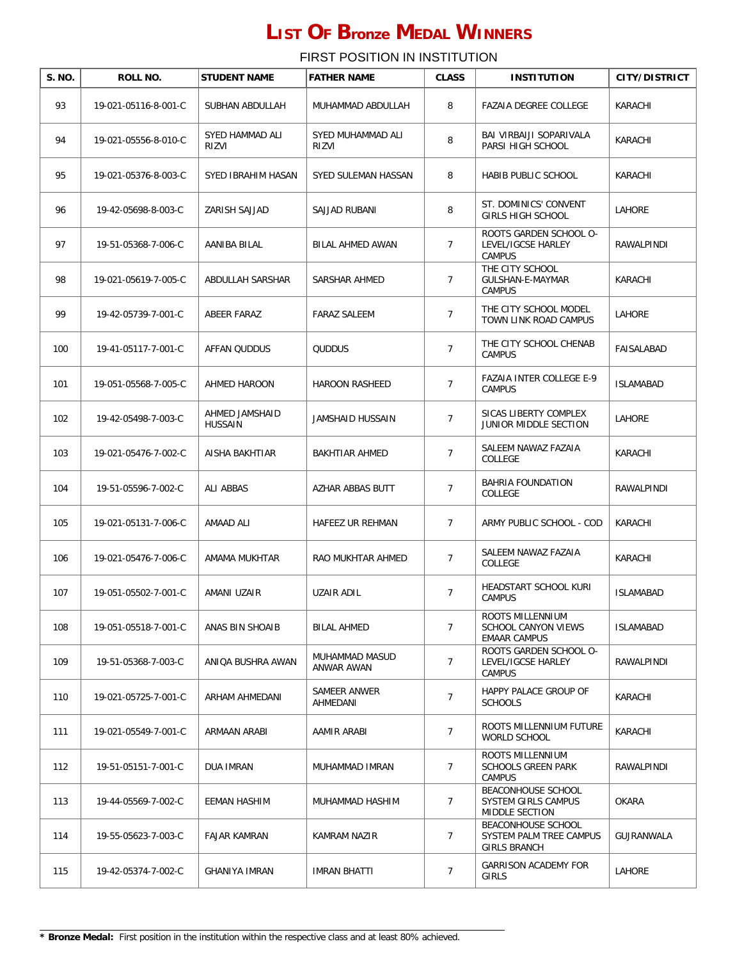| S. NO. | ROLL NO.             | <b>STUDENT NAME</b>              | <b>FATHER NAME</b>           | <b>CLASS</b>   | <b>INSTITUTION</b>                                                          | <b>CITY/DISTRICT</b> |
|--------|----------------------|----------------------------------|------------------------------|----------------|-----------------------------------------------------------------------------|----------------------|
| 93     | 19-021-05116-8-001-C | SUBHAN ABDULLAH                  | MUHAMMAD ABDULLAH            | 8              | FAZAIA DEGREE COLLEGE                                                       | KARACHI              |
| 94     | 19-021-05556-8-010-C | SYED HAMMAD ALI<br>RIZVI         | SYED MUHAMMAD ALI<br>RIZVI   | 8              | BAI VIRBAIJI SOPARIVALA<br>PARSI HIGH SCHOOL                                | KARACHI              |
| 95     | 19-021-05376-8-003-C | SYED IBRAHIM HASAN               | SYED SULEMAN HASSAN          | 8              | HABIB PUBLIC SCHOOL                                                         | KARACHI              |
| 96     | 19-42-05698-8-003-C  | ZARISH SAJJAD                    | SAJJAD RUBANI                | 8              | ST. DOMINICS' CONVENT<br><b>GIRLS HIGH SCHOOL</b>                           | <b>LAHORE</b>        |
| 97     | 19-51-05368-7-006-C  | AANIBA BILAL                     | BILAL AHMED AWAN             | $\overline{7}$ | ROOTS GARDEN SCHOOL O-<br>LEVEL/IGCSE HARLEY<br><b>CAMPUS</b>               | RAWALPINDI           |
| 98     | 19-021-05619-7-005-C | ABDULLAH SARSHAR                 | SARSHAR AHMED                | $\overline{7}$ | THE CITY SCHOOL<br>GULSHAN-E-MAYMAR<br><b>CAMPUS</b>                        | KARACHI              |
| 99     | 19-42-05739-7-001-C  | ABEER FARAZ                      | <b>FARAZ SALEEM</b>          | $\overline{7}$ | THE CITY SCHOOL MODEL<br>TOWN LINK ROAD CAMPUS                              | LAHORE               |
| 100    | 19-41-05117-7-001-C  | AFFAN QUDDUS                     | <b>QUDDUS</b>                | $\overline{7}$ | THE CITY SCHOOL CHENAB<br><b>CAMPUS</b>                                     | FAISALABAD           |
| 101    | 19-051-05568-7-005-C | AHMED HAROON                     | <b>HAROON RASHEED</b>        | $\overline{7}$ | <b>FAZAIA INTER COLLEGE E-9</b><br><b>CAMPUS</b>                            | <b>ISLAMABAD</b>     |
| 102    | 19-42-05498-7-003-C  | AHMED JAMSHAID<br><b>HUSSAIN</b> | JAMSHAID HUSSAIN             | $\overline{7}$ | SICAS LIBERTY COMPLEX<br>JUNIOR MIDDLE SECTION                              | LAHORE               |
| 103    | 19-021-05476-7-002-C | AISHA BAKHTIAR                   | BAKHTIAR AHMED               | $\overline{7}$ | SALEEM NAWAZ FAZAIA<br>COLLEGE                                              | KARACHI              |
| 104    | 19-51-05596-7-002-C  | ALI ABBAS                        | AZHAR ABBAS BUTT             | $\overline{7}$ | BAHRIA FOUNDATION<br>COLLEGE                                                | RAWALPINDI           |
| 105    | 19-021-05131-7-006-C | AMAAD ALI                        | HAFEEZ UR REHMAN             | $\overline{7}$ | ARMY PUBLIC SCHOOL - COD                                                    | KARACHI              |
| 106    | 19-021-05476-7-006-C | AMAMA MUKHTAR                    | RAO MUKHTAR AHMED            | 7              | SALEEM NAWAZ FAZAIA<br>COLLEGE                                              | KARACHI              |
| 107    | 19-051-05502-7-001-C | AMANI UZAIR                      | UZAIR ADIL                   | $\overline{7}$ | HEADSTART SCHOOL KURI<br><b>CAMPUS</b>                                      | <b>ISLAMABAD</b>     |
| 108    | 19-051-05518-7-001-C | ANAS BIN SHOAIB                  | <b>BILAL AHMED</b>           | $\overline{7}$ | ROOTS MILLENNIUM<br><b>SCHOOL CANYON VIEWS</b><br><b>EMAAR CAMPUS</b>       | ISLAMABAD            |
| 109    | 19-51-05368-7-003-C  | ANIQA BUSHRA AWAN                | MUHAMMAD MASUD<br>ANWAR AWAN | $\overline{7}$ | ROOTS GARDEN SCHOOL O-<br>LEVEL/IGCSE HARLEY<br><b>CAMPUS</b>               | RAWALPINDI           |
| 110    | 19-021-05725-7-001-C | ARHAM AHMEDANI                   | SAMEER ANWER<br>AHMEDANI     | $\overline{7}$ | HAPPY PALACE GROUP OF<br><b>SCHOOLS</b>                                     | KARACHI              |
| 111    | 19-021-05549-7-001-C | ARMAAN ARABI                     | AAMIR ARABI                  | $\overline{7}$ | ROOTS MILLENNIUM FUTURE<br>WORLD SCHOOL                                     | KARACHI              |
| 112    | 19-51-05151-7-001-C  | DUA IMRAN                        | MUHAMMAD IMRAN               | 7              | ROOTS MILLENNIUM<br><b>SCHOOLS GREEN PARK</b><br><b>CAMPUS</b>              | RAWALPINDI           |
| 113    | 19-44-05569-7-002-C  | EEMAN HASHIM                     | MUHAMMAD HASHIM              | $\overline{7}$ | BEACONHOUSE SCHOOL<br>SYSTEM GIRLS CAMPUS<br>MIDDLE SECTION                 | <b>OKARA</b>         |
| 114    | 19-55-05623-7-003-C  | FAJAR KAMRAN                     | KAMRAM NAZIR                 | 7              | <b>BEACONHOUSE SCHOOL</b><br>SYSTEM PALM TREE CAMPUS<br><b>GIRLS BRANCH</b> | GUJRANWALA           |
| 115    | 19-42-05374-7-002-C  | GHANIYA IMRAN                    | <b>IMRAN BHATTI</b>          | 7              | <b>GARRISON ACADEMY FOR</b><br><b>GIRLS</b>                                 | LAHORE               |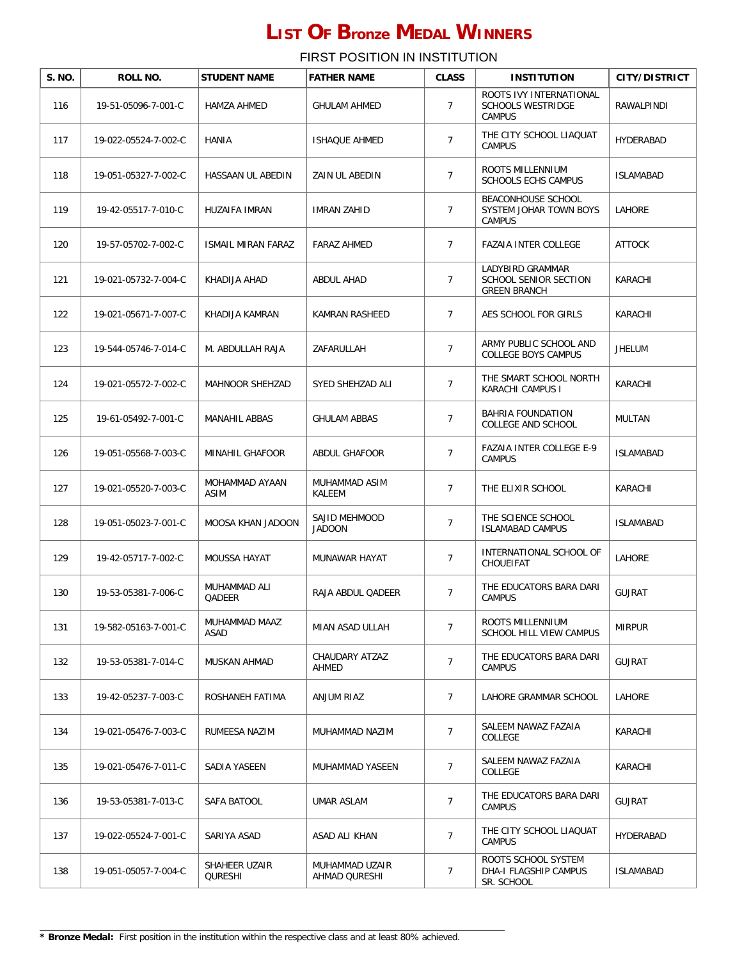| S. NO. | ROLL NO.             | <b>STUDENT NAME</b>          | <b>FATHER NAME</b>              | <b>CLASS</b>   | <b>INSTITUTION</b>                                                   | <b>CITY/DISTRICT</b> |
|--------|----------------------|------------------------------|---------------------------------|----------------|----------------------------------------------------------------------|----------------------|
| 116    | 19-51-05096-7-001-C  | <b>HAMZA AHMED</b>           | <b>GHULAM AHMED</b>             | $\overline{7}$ | ROOTS IVY INTERNATIONAL<br><b>SCHOOLS WESTRIDGE</b><br><b>CAMPUS</b> | RAWALPINDI           |
| 117    | 19-022-05524-7-002-C | <b>HANIA</b>                 | <b>ISHAQUE AHMED</b>            | $\overline{7}$ | THE CITY SCHOOL LIAQUAT<br><b>CAMPUS</b>                             | HYDERABAD            |
| 118    | 19-051-05327-7-002-C | HASSAAN UL ABEDIN            | ZAIN UL ABEDIN                  | $\overline{7}$ | ROOTS MILLENNIUM<br>SCHOOLS ECHS CAMPUS                              | <b>ISLAMABAD</b>     |
| 119    | 19-42-05517-7-010-C  | <b>HUZAIFA IMRAN</b>         | <b>IMRAN ZAHID</b>              | 7              | BEACONHOUSE SCHOOL<br>SYSTEM JOHAR TOWN BOYS<br><b>CAMPUS</b>        | LAHORE               |
| 120    | 19-57-05702-7-002-C  | <b>ISMAIL MIRAN FARAZ</b>    | FARAZ AHMED                     | $\overline{7}$ | <b>FAZAIA INTER COLLEGE</b>                                          | <b>ATTOCK</b>        |
| 121    | 19-021-05732-7-004-C | KHADIJA AHAD                 | ABDUL AHAD                      | $\overline{7}$ | LADYBIRD GRAMMAR<br>SCHOOL SENIOR SECTION<br><b>GREEN BRANCH</b>     | KARACHI              |
| 122    | 19-021-05671-7-007-C | KHADIJA KAMRAN               | KAMRAN RASHEED                  | $\overline{7}$ | AES SCHOOL FOR GIRLS                                                 | KARACHI              |
| 123    | 19-544-05746-7-014-C | M. ABDULLAH RAJA             | ZAFARULLAH                      | $\overline{7}$ | ARMY PUBLIC SCHOOL AND<br><b>COLLEGE BOYS CAMPUS</b>                 | JHELUM               |
| 124    | 19-021-05572-7-002-C | <b>MAHNOOR SHEHZAD</b>       | SYED SHEHZAD ALI                | $\overline{7}$ | THE SMART SCHOOL NORTH<br>KARACHI CAMPUS I                           | KARACHI              |
| 125    | 19-61-05492-7-001-C  | MANAHIL ABBAS                | <b>GHULAM ABBAS</b>             | $\overline{7}$ | BAHRIA FOUNDATION<br>COLLEGE AND SCHOOL                              | MULTAN               |
| 126    | 19-051-05568-7-003-C | MINAHIL GHAFOOR              | ABDUL GHAFOOR                   | $\overline{7}$ | <b>FAZAIA INTER COLLEGE E-9</b><br><b>CAMPUS</b>                     | <b>ISLAMABAD</b>     |
| 127    | 19-021-05520-7-003-C | MOHAMMAD AYAAN<br>ASIM       | MUHAMMAD ASIM<br>KALEEM         | $\overline{7}$ | THE ELIXIR SCHOOL                                                    | KARACHI              |
| 128    | 19-051-05023-7-001-C | MOOSA KHAN JADOON            | SAJID MEHMOOD<br><b>JADOON</b>  | $\overline{7}$ | THE SCIENCE SCHOOL<br><b>ISLAMABAD CAMPUS</b>                        | <b>ISLAMABAD</b>     |
| 129    | 19-42-05717-7-002-C  | MOUSSA HAYAT                 | <b>MUNAWAR HAYAT</b>            | $\overline{7}$ | INTERNATIONAL SCHOOL OF<br>CHOUEIFAT                                 | LAHORE               |
| 130    | 19-53-05381-7-006-C  | MUHAMMAD ALI<br>QADEER       | RAJA ABDUL QADEER               | $\overline{7}$ | THE EDUCATORS BARA DARI<br><b>CAMPUS</b>                             | <b>GUJRAT</b>        |
| 131    | 19-582-05163-7-001-C | MUHAMMAD MAAZ<br><b>ASAD</b> | MIAN ASAD ULLAH                 | $\overline{7}$ | ROOTS MILLENNIUM<br>SCHOOL HILL VIEW CAMPUS                          | <b>MIRPUR</b>        |
| 132    | 19-53-05381-7-014-C  | MUSKAN AHMAD                 | CHAUDARY ATZAZ<br>AHMED         | $\overline{7}$ | THE EDUCATORS BARA DARI<br><b>CAMPUS</b>                             | <b>GUJRAT</b>        |
| 133    | 19-42-05237-7-003-C  | ROSHANEH FATIMA              | ANJUM RIAZ                      | $\overline{7}$ | LAHORE GRAMMAR SCHOOL                                                | LAHORE               |
| 134    | 19-021-05476-7-003-C | RUMEESA NAZIM                | MUHAMMAD NAZIM                  | $\overline{7}$ | SALEEM NAWAZ FAZAIA<br>COLLEGE                                       | KARACHI              |
| 135    | 19-021-05476-7-011-C | SADIA YASEEN                 | MUHAMMAD YASEEN                 | $\overline{7}$ | SALEEM NAWAZ FAZAIA<br>COLLEGE                                       | KARACHI              |
| 136    | 19-53-05381-7-013-C  | SAFA BATOOL                  | UMAR ASLAM                      | 7              | THE EDUCATORS BARA DARI<br><b>CAMPUS</b>                             | <b>GUJRAT</b>        |
| 137    | 19-022-05524-7-001-C | SARIYA ASAD                  | ASAD ALI KHAN                   | $\overline{7}$ | THE CITY SCHOOL LIAQUAT<br><b>CAMPUS</b>                             | HYDERABAD            |
| 138    | 19-051-05057-7-004-C | SHAHEER UZAIR<br>QURESHI     | MUHAMMAD UZAIR<br>AHMAD QURESHI | 7              | ROOTS SCHOOL SYSTEM<br>DHA-I FLAGSHIP CAMPUS<br>SR. SCHOOL           | <b>ISLAMABAD</b>     |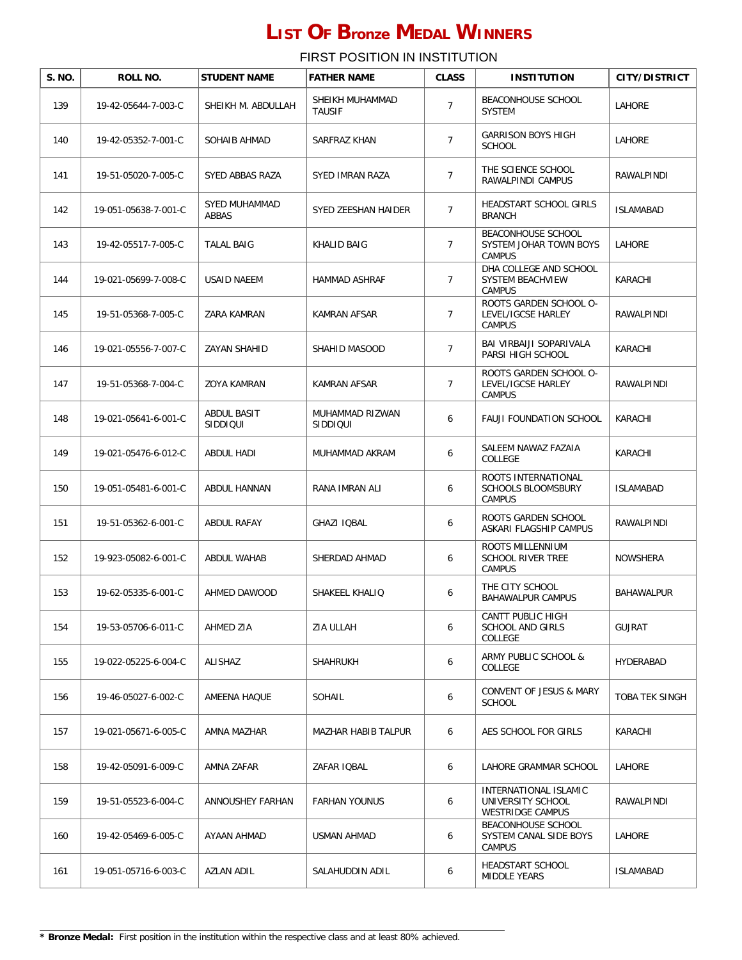| S. NO. | ROLL NO.             | <b>STUDENT NAME</b>           | <b>FATHER NAME</b>               | <b>CLASS</b>   | <b>INSTITUTION</b>                                                    | <b>CITY/DISTRICT</b>  |
|--------|----------------------|-------------------------------|----------------------------------|----------------|-----------------------------------------------------------------------|-----------------------|
| 139    | 19-42-05644-7-003-C  | SHEIKH M. ABDULLAH            | SHEIKH MUHAMMAD<br><b>TAUSIF</b> | $\overline{7}$ | <b>BEACONHOUSE SCHOOL</b><br><b>SYSTEM</b>                            | LAHORE                |
| 140    | 19-42-05352-7-001-C  | SOHAIB AHMAD                  | SARFRAZ KHAN                     | $\overline{7}$ | <b>GARRISON BOYS HIGH</b><br><b>SCHOOL</b>                            | <b>LAHORE</b>         |
| 141    | 19-51-05020-7-005-C  | SYED ABBAS RAZA               | SYED IMRAN RAZA                  | $\overline{7}$ | THE SCIENCE SCHOOL<br>RAWALPINDI CAMPUS                               | RAWALPINDI            |
| 142    | 19-051-05638-7-001-C | <b>SYED MUHAMMAD</b><br>ABBAS | SYED ZEESHAN HAIDER              | $\overline{7}$ | HEADSTART SCHOOL GIRLS<br><b>BRANCH</b>                               | <b>ISLAMABAD</b>      |
| 143    | 19-42-05517-7-005-C  | <b>TALAL BAIG</b>             | KHALID BAIG                      | $\overline{7}$ | BEACONHOUSE SCHOOL<br>SYSTEM JOHAR TOWN BOYS<br><b>CAMPUS</b>         | LAHORE                |
| 144    | 19-021-05699-7-008-C | USAID NAEEM                   | HAMMAD ASHRAF                    | $\overline{7}$ | DHA COLLEGE AND SCHOOL<br>SYSTEM BEACHVIEW<br><b>CAMPUS</b>           | KARACHI               |
| 145    | 19-51-05368-7-005-C  | ZARA KAMRAN                   | KAMRAN AFSAR                     | $\overline{7}$ | ROOTS GARDEN SCHOOL O-<br>LEVEL/IGCSE HARLEY<br><b>CAMPUS</b>         | RAWALPINDI            |
| 146    | 19-021-05556-7-007-C | ZAYAN SHAHID                  | SHAHID MASOOD                    | $\overline{7}$ | BAI VIRBAIJI SOPARIVALA<br>PARSI HIGH SCHOOL                          | KARACHI               |
| 147    | 19-51-05368-7-004-C  | ZOYA KAMRAN                   | <b>KAMRAN AFSAR</b>              | $\overline{7}$ | ROOTS GARDEN SCHOOL O-<br>LEVEL/IGCSE HARLEY<br><b>CAMPUS</b>         | RAWALPINDI            |
| 148    | 19-021-05641-6-001-C | ABDUL BASIT<br>SIDDIQUI       | MUHAMMAD RIZWAN<br>SIDDIQUI      | 6              | FAUJI FOUNDATION SCHOOL                                               | KARACHI               |
| 149    | 19-021-05476-6-012-C | ABDUL HADI                    | MUHAMMAD AKRAM                   | 6              | SALEEM NAWAZ FAZAIA<br>COLLEGE                                        | KARACHI               |
| 150    | 19-051-05481-6-001-C | ABDUL HANNAN                  | RANA IMRAN ALI                   | 6              | ROOTS INTERNATIONAL<br><b>SCHOOLS BLOOMSBURY</b><br><b>CAMPUS</b>     | <b>ISLAMABAD</b>      |
| 151    | 19-51-05362-6-001-C  | ABDUL RAFAY                   | <b>GHAZI IQBAL</b>               | 6              | ROOTS GARDEN SCHOOL<br>ASKARI FLAGSHIP CAMPUS                         | RAWALPINDI            |
| 152    | 19-923-05082-6-001-C | ABDUL WAHAB                   | SHERDAD AHMAD                    | 6              | ROOTS MILLENNIUM<br><b>SCHOOL RIVER TREE</b><br><b>CAMPUS</b>         | NOWSHERA              |
| 153    | 19-62-05335-6-001-C  | AHMED DAWOOD                  | SHAKEEL KHALIQ                   | 6              | THE CITY SCHOOL<br><b>BAHAWALPUR CAMPUS</b>                           | <b>BAHAWALPUR</b>     |
| 154    | 19-53-05706-6-011-C  | AHMED ZIA                     | ZIA ULLAH                        | 6              | CANTT PUBLIC HIGH<br><b>SCHOOL AND GIRLS</b><br>COLLEGE               | <b>GUJRAT</b>         |
| 155    | 19-022-05225-6-004-C | ALISHAZ                       | <b>SHAHRUKH</b>                  | 6              | ARMY PUBLIC SCHOOL &<br>COLLEGE                                       | HYDERABAD             |
| 156    | 19-46-05027-6-002-C  | AMEENA HAQUE                  | SOHAIL                           | 6              | CONVENT OF JESUS & MARY<br><b>SCHOOL</b>                              | <b>TOBA TEK SINGH</b> |
| 157    | 19-021-05671-6-005-C | AMNA MAZHAR                   | MAZHAR HABIB TALPUR              | 6              | AES SCHOOL FOR GIRLS                                                  | KARACHI               |
| 158    | 19-42-05091-6-009-C  | AMNA ZAFAR                    | ZAFAR IQBAL                      | 6              | LAHORE GRAMMAR SCHOOL                                                 | LAHORE                |
| 159    | 19-51-05523-6-004-C  | ANNOUSHEY FARHAN              | <b>FARHAN YOUNUS</b>             | 6              | INTERNATIONAL ISLAMIC<br>UNIVERSITY SCHOOL<br><b>WESTRIDGE CAMPUS</b> | RAWALPINDI            |
| 160    | 19-42-05469-6-005-C  | AYAAN AHMAD                   | USMAN AHMAD                      | 6              | BEACONHOUSE SCHOOL<br>SYSTEM CANAL SIDE BOYS<br><b>CAMPUS</b>         | LAHORE                |
| 161    | 19-051-05716-6-003-C | AZLAN ADIL                    | SALAHUDDIN ADIL                  | 6              | HEADSTART SCHOOL<br>MIDDLE YEARS                                      | ISLAMABAD             |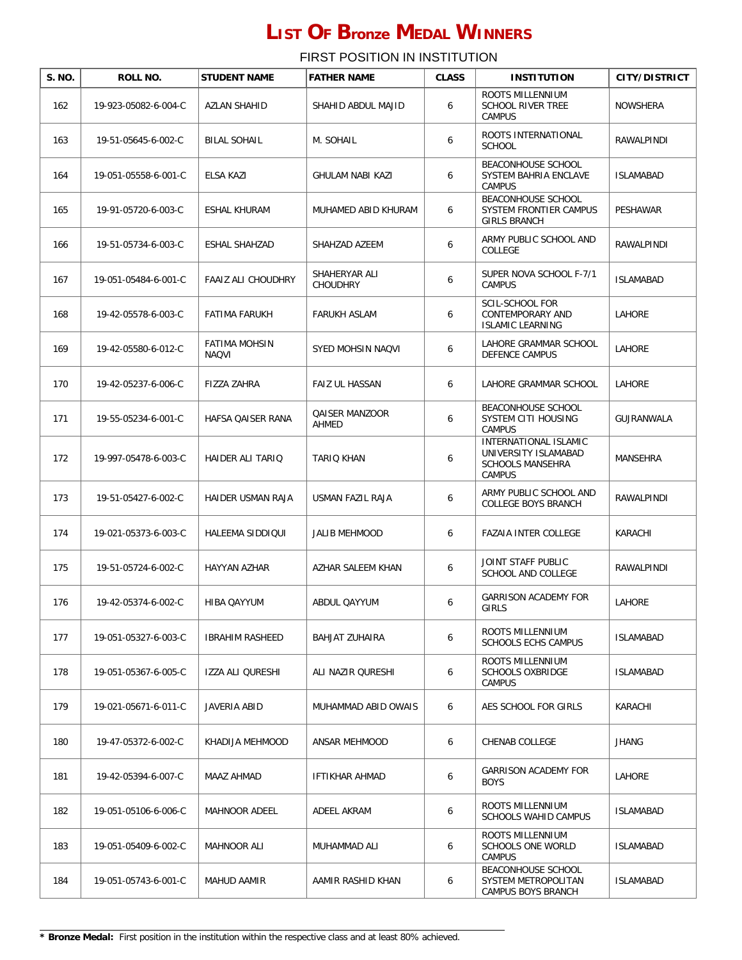| S. NO. | ROLL NO.             | <b>STUDENT NAME</b>           | <b>FATHER NAME</b>               | <b>CLASS</b> | <b>INSTITUTION</b>                                                                        | <b>CITY/DISTRICT</b> |
|--------|----------------------|-------------------------------|----------------------------------|--------------|-------------------------------------------------------------------------------------------|----------------------|
| 162    | 19-923-05082-6-004-C | <b>AZLAN SHAHID</b>           | SHAHID ABDUL MAJID               | 6            | ROOTS MILLENNIUM<br><b>SCHOOL RIVER TREE</b><br><b>CAMPUS</b>                             | NOWSHERA             |
| 163    | 19-51-05645-6-002-C  | <b>BILAL SOHAIL</b>           | M. SOHAIL                        | 6            | ROOTS INTERNATIONAL<br><b>SCHOOL</b>                                                      | RAWALPINDI           |
| 164    | 19-051-05558-6-001-C | ELSA KAZI                     | <b>GHULAM NABI KAZI</b>          | 6            | BEACONHOUSE SCHOOL<br>SYSTEM BAHRIA ENCLAVE<br><b>CAMPUS</b>                              | <b>ISLAMABAD</b>     |
| 165    | 19-91-05720-6-003-C  | ESHAL KHURAM                  | MUHAMED ABID KHURAM              | 6            | <b>BEACONHOUSE SCHOOL</b><br>SYSTEM FRONTIER CAMPUS<br><b>GIRLS BRANCH</b>                | PESHAWAR             |
| 166    | 19-51-05734-6-003-C  | ESHAL SHAHZAD                 | SHAHZAD AZEEM                    | 6            | ARMY PUBLIC SCHOOL AND<br>COLLEGE                                                         | RAWALPINDI           |
| 167    | 19-051-05484-6-001-C | FAAIZ ALI CHOUDHRY            | SHAHERYAR ALI<br><b>CHOUDHRY</b> | 6            | SUPER NOVA SCHOOL F-7/1<br><b>CAMPUS</b>                                                  | ISLAMABAD            |
| 168    | 19-42-05578-6-003-C  | <b>FATIMA FARUKH</b>          | <b>FARUKH ASLAM</b>              | 6            | <b>SCIL-SCHOOL FOR</b><br>CONTEMPORARY AND<br><b>ISLAMIC LEARNING</b>                     | LAHORE               |
| 169    | 19-42-05580-6-012-C  | <b>FATIMA MOHSIN</b><br>NAQVI | SYED MOHSIN NAQVI                | 6            | LAHORE GRAMMAR SCHOOL<br><b>DEFENCE CAMPUS</b>                                            | LAHORE               |
| 170    | 19-42-05237-6-006-C  | <b>FIZZA ZAHRA</b>            | FAIZ UL HASSAN                   | 6            | LAHORE GRAMMAR SCHOOL                                                                     | LAHORE               |
| 171    | 19-55-05234-6-001-C  | HAFSA QAISER RANA             | <b>QAISER MANZOOR</b><br>AHMED   | 6            | <b>BEACONHOUSE SCHOOL</b><br>SYSTEM CITI HOUSING<br><b>CAMPUS</b>                         | GUJRANWALA           |
| 172    | 19-997-05478-6-003-C | HAIDER ALI TARIQ              | TARIQ KHAN                       | 6            | INTERNATIONAL ISLAMIC<br>UNIVERSITY ISLAMABAD<br><b>SCHOOLS MANSEHRA</b><br><b>CAMPUS</b> | MANSEHRA             |
| 173    | 19-51-05427-6-002-C  | HAIDER USMAN RAJA             | USMAN FAZIL RAJA                 | 6            | ARMY PUBLIC SCHOOL AND<br><b>COLLEGE BOYS BRANCH</b>                                      | RAWALPINDI           |
| 174    | 19-021-05373-6-003-C | HALEEMA SIDDIQUI              | <b>JALIB MEHMOOD</b>             | 6            | <b>FAZAIA INTER COLLEGE</b>                                                               | KARACHI              |
| 175    | 19-51-05724-6-002-C  | HAYYAN AZHAR                  | AZHAR SALEEM KHAN                | 6            | JOINT STAFF PUBLIC<br>SCHOOL AND COLLEGE                                                  | RAWALPINDI           |
| 176    | 19-42-05374-6-002-C  | HIBA QAYYUM                   | ABDUL QAYYUM                     | 6            | <b>GARRISON ACADEMY FOR</b><br>GIRLS                                                      | LAHORE               |
| 177    | 19-051-05327-6-003-C | <b>IBRAHIM RASHEED</b>        | BAHJAT ZUHAIRA                   | 6            | ROOTS MILLENNIUM<br><b>SCHOOLS ECHS CAMPUS</b>                                            | <b>ISLAMABAD</b>     |
| 178    | 19-051-05367-6-005-C | IZZA ALI QURESHI              | ALI NAZIR QURESHI                | 6            | <b>ROOTS MILLENNIUM</b><br><b>SCHOOLS OXBRIDGE</b><br><b>CAMPUS</b>                       | <b>ISLAMABAD</b>     |
| 179    | 19-021-05671-6-011-C | JAVERIA ABID                  | MUHAMMAD ABID OWAIS              | 6            | AES SCHOOL FOR GIRLS                                                                      | KARACHI              |
| 180    | 19-47-05372-6-002-C  | KHADIJA MEHMOOD               | ANSAR MEHMOOD                    | 6            | CHENAB COLLEGE                                                                            | <b>JHANG</b>         |
| 181    | 19-42-05394-6-007-C  | MAAZ AHMAD                    | <b>IFTIKHAR AHMAD</b>            | 6            | <b>GARRISON ACADEMY FOR</b><br><b>BOYS</b>                                                | LAHORE               |
| 182    | 19-051-05106-6-006-C | <b>MAHNOOR ADEEL</b>          | ADEEL AKRAM                      | 6            | ROOTS MILLENNIUM<br><b>SCHOOLS WAHID CAMPUS</b>                                           | ISLAMABAD            |
| 183    | 19-051-05409-6-002-C | <b>MAHNOOR ALI</b>            | MUHAMMAD ALI                     | 6            | ROOTS MILLENNIUM<br><b>SCHOOLS ONE WORLD</b><br><b>CAMPUS</b>                             | <b>ISLAMABAD</b>     |
| 184    | 19-051-05743-6-001-C | MAHUD AAMIR                   | AAMIR RASHID KHAN                | 6            | BEACONHOUSE SCHOOL<br>SYSTEM METROPOLITAN<br>CAMPUS BOYS BRANCH                           | <b>ISLAMABAD</b>     |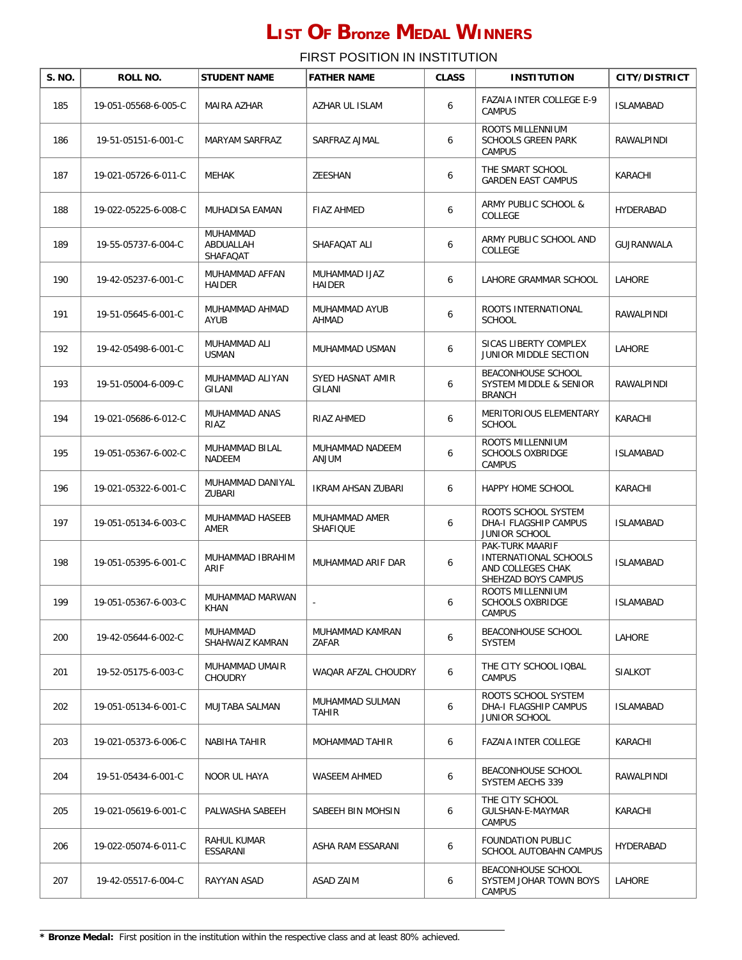| <b>S. NO.</b> | ROLL NO.             | <b>STUDENT NAME</b>                      | <b>FATHER NAME</b>                | <b>CLASS</b> | <b>INSTITUTION</b>                                                                   | <b>CITY/DISTRICT</b> |
|---------------|----------------------|------------------------------------------|-----------------------------------|--------------|--------------------------------------------------------------------------------------|----------------------|
| 185           | 19-051-05568-6-005-C | MAIRA AZHAR                              | AZHAR UL ISLAM                    | 6            | <b>FAZAIA INTER COLLEGE E-9</b><br><b>CAMPUS</b>                                     | <b>ISLAMABAD</b>     |
| 186           | 19-51-05151-6-001-C  | MARYAM SARFRAZ                           | SARFRAZ AJMAL                     | 6            | ROOTS MILLENNIUM<br><b>SCHOOLS GREEN PARK</b><br><b>CAMPUS</b>                       | RAWALPINDI           |
| 187           | 19-021-05726-6-011-C | MEHAK                                    | ZEESHAN                           | 6            | THE SMART SCHOOL<br><b>GARDEN EAST CAMPUS</b>                                        | KARACHI              |
| 188           | 19-022-05225-6-008-C | MUHADISA EAMAN                           | <b>FIAZ AHMED</b>                 | 6            | ARMY PUBLIC SCHOOL &<br>COLLEGE                                                      | HYDERABAD            |
| 189           | 19-55-05737-6-004-C  | MUHAMMAD<br>ABDUALLAH<br><b>SHAFAQAT</b> | SHAFAQAT ALI                      | 6            | ARMY PUBLIC SCHOOL AND<br>COLLEGE                                                    | GUJRANWALA           |
| 190           | 19-42-05237-6-001-C  | MUHAMMAD AFFAN<br><b>HAIDER</b>          | MUHAMMAD IJAZ<br>HAIDER           | 6            | LAHORE GRAMMAR SCHOOL                                                                | LAHORE               |
| 191           | 19-51-05645-6-001-C  | MUHAMMAD AHMAD<br>AYUB                   | MUHAMMAD AYUB<br>AHMAD            | 6            | ROOTS INTERNATIONAL<br><b>SCHOOL</b>                                                 | RAWALPINDI           |
| 192           | 19-42-05498-6-001-C  | MUHAMMAD ALI<br><b>USMAN</b>             | MUHAMMAD USMAN                    | 6            | SICAS LIBERTY COMPLEX<br>JUNIOR MIDDLE SECTION                                       | LAHORE               |
| 193           | 19-51-05004-6-009-C  | MUHAMMAD ALIYAN<br>GILANI                | <b>SYED HASNAT AMIR</b><br>GILANI | 6            | <b>BEACONHOUSE SCHOOL</b><br><b>SYSTEM MIDDLE &amp; SENIOR</b><br><b>BRANCH</b>      | RAWALPINDI           |
| 194           | 19-021-05686-6-012-C | MUHAMMAD ANAS<br>RIAZ                    | RIAZ AHMED                        | 6            | MERITORIOUS ELEMENTARY<br><b>SCHOOL</b>                                              | KARACHI              |
| 195           | 19-051-05367-6-002-C | MUHAMMAD BILAL<br><b>NADEEM</b>          | MUHAMMAD NADEEM<br>MULIA          | 6            | ROOTS MILLENNIUM<br><b>SCHOOLS OXBRIDGE</b><br><b>CAMPUS</b>                         | <b>ISLAMABAD</b>     |
| 196           | 19-021-05322-6-001-C | MUHAMMAD DANIYAL<br>ZUBARI               | IKRAM AHSAN ZUBARI                | 6            | HAPPY HOME SCHOOL                                                                    | KARACHI              |
| 197           | 19-051-05134-6-003-C | MUHAMMAD HASEEB<br>AMER                  | MUHAMMAD AMER<br><b>SHAFIQUE</b>  | 6            | ROOTS SCHOOL SYSTEM<br>DHA-I FLAGSHIP CAMPUS<br><b>JUNIOR SCHOOL</b>                 | ISLAMABAD            |
| 198           | 19-051-05395-6-001-C | MUHAMMAD IBRAHIM<br>ARIF                 | MUHAMMAD ARIF DAR                 | 6            | PAK-TURK MAARIF<br>INTERNATIONAL SCHOOLS<br>AND COLLEGES CHAK<br>SHEHZAD BOYS CAMPUS | <b>ISLAMABAD</b>     |
| 199           | 19-051-05367-6-003-C | MUHAMMAD MARWAN<br>KHAN                  |                                   | 6            | ROOTS MILLENNIUM<br>SCHOOLS OXBRIDGE<br><b>CAMPUS</b>                                | ISLAMABAD            |
| 200           | 19-42-05644-6-002-C  | MUHAMMAD<br>SHAHWAIZ KAMRAN              | MUHAMMAD KAMRAN<br>ZAFAR          | 6            | <b>BEACONHOUSE SCHOOL</b><br>SYSTEM                                                  | LAHORE               |
| 201           | 19-52-05175-6-003-C  | MUHAMMAD UMAIR<br><b>CHOUDRY</b>         | WAQAR AFZAL CHOUDRY               | 6            | THE CITY SCHOOL IQBAL<br><b>CAMPUS</b>                                               | <b>SIALKOT</b>       |
| 202           | 19-051-05134-6-001-C | MUJTABA SALMAN                           | MUHAMMAD SULMAN<br><b>TAHIR</b>   | 6            | ROOTS SCHOOL SYSTEM<br>DHA-I FLAGSHIP CAMPUS<br><b>JUNIOR SCHOOL</b>                 | ISLAMABAD            |
| 203           | 19-021-05373-6-006-C | <b>NABIHA TAHIR</b>                      | MOHAMMAD TAHIR                    | 6            | <b>FAZAIA INTER COLLEGE</b>                                                          | KARACHI              |
| 204           | 19-51-05434-6-001-C  | NOOR UL HAYA                             | <b>WASEEM AHMED</b>               | 6            | BEACONHOUSE SCHOOL<br>SYSTEM AECHS 339                                               | RAWALPINDI           |
| 205           | 19-021-05619-6-001-C | PALWASHA SABEEH                          | SABEEH BIN MOHSIN                 | 6            | THE CITY SCHOOL<br>GULSHAN-E-MAYMAR<br><b>CAMPUS</b>                                 | KARACHI              |
| 206           | 19-022-05074-6-011-C | RAHUL KUMAR<br>ESSARANI                  | ASHA RAM ESSARANI                 | 6            | FOUNDATION PUBLIC<br>SCHOOL AUTOBAHN CAMPUS                                          | HYDERABAD            |
| 207           | 19-42-05517-6-004-C  | RAYYAN ASAD                              | ASAD ZAIM                         | 6            | BEACONHOUSE SCHOOL<br>SYSTEM JOHAR TOWN BOYS<br><b>CAMPUS</b>                        | LAHORE               |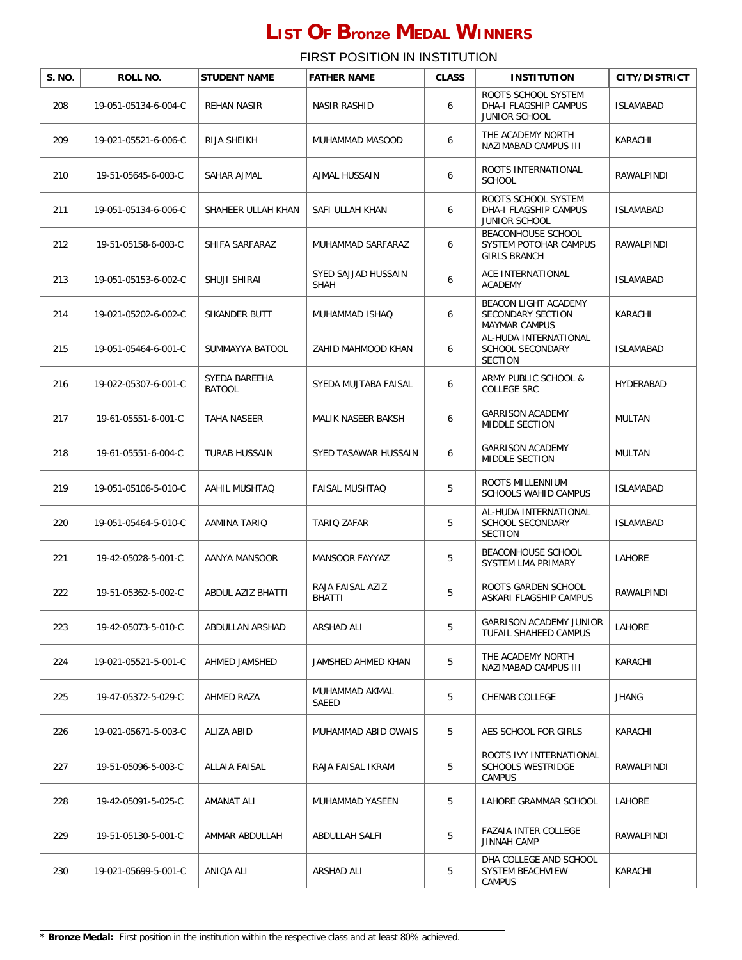| <b>S. NO.</b> | ROLL NO.             | <b>STUDENT NAME</b>            | <b>FATHER NAME</b>                 | <b>CLASS</b> | <b>INSTITUTION</b>                                                        | <b>CITY/DISTRICT</b> |
|---------------|----------------------|--------------------------------|------------------------------------|--------------|---------------------------------------------------------------------------|----------------------|
| 208           | 19-051-05134-6-004-C | <b>REHAN NASIR</b>             | NASIR RASHID                       | 6            | ROOTS SCHOOL SYSTEM<br><b>DHA-I FLAGSHIP CAMPUS</b><br>JUNIOR SCHOOL      | <b>ISLAMABAD</b>     |
| 209           | 19-021-05521-6-006-C | RIJA SHEIKH                    | MUHAMMAD MASOOD                    | 6            | THE ACADEMY NORTH<br>NAZIMABAD CAMPUS III                                 | KARACHI              |
| 210           | 19-51-05645-6-003-C  | SAHAR AJMAL                    | AJMAL HUSSAIN                      | 6            | ROOTS INTERNATIONAL<br><b>SCHOOL</b>                                      | RAWALPINDI           |
| 211           | 19-051-05134-6-006-C | SHAHEER ULLAH KHAN             | SAFI ULLAH KHAN                    | 6            | ROOTS SCHOOL SYSTEM<br>DHA-I FLAGSHIP CAMPUS<br><b>JUNIOR SCHOOL</b>      | <b>ISLAMABAD</b>     |
| 212           | 19-51-05158-6-003-C  | SHIFA SARFARAZ                 | MUHAMMAD SARFARAZ                  | 6            | <b>BEACONHOUSE SCHOOL</b><br>SYSTEM POTOHAR CAMPUS<br><b>GIRLS BRANCH</b> | RAWALPINDI           |
| 213           | 19-051-05153-6-002-C | SHUJI SHIRAI                   | SYED SAJJAD HUSSAIN<br><b>SHAH</b> | 6            | ACE INTERNATIONAL<br><b>ACADEMY</b>                                       | <b>ISLAMABAD</b>     |
| 214           | 19-021-05202-6-002-C | SIKANDER BUTT                  | MUHAMMAD ISHAQ                     | 6            | BEACON LIGHT ACADEMY<br>SECONDARY SECTION<br><b>MAYMAR CAMPUS</b>         | KARACHI              |
| 215           | 19-051-05464-6-001-C | SUMMAYYA BATOOL                | ZAHID MAHMOOD KHAN                 | 6            | AL-HUDA INTERNATIONAL<br>SCHOOL SECONDARY<br><b>SECTION</b>               | <b>ISLAMABAD</b>     |
| 216           | 19-022-05307-6-001-C | SYEDA BAREEHA<br><b>BATOOL</b> | SYEDA MUJTABA FAISAL               | 6            | ARMY PUBLIC SCHOOL &<br><b>COLLEGE SRC</b>                                | <b>HYDERABAD</b>     |
| 217           | 19-61-05551-6-001-C  | TAHA NASEER                    | MALIK NASEER BAKSH                 | 6            | <b>GARRISON ACADEMY</b><br>MIDDLE SECTION                                 | MULTAN               |
| 218           | 19-61-05551-6-004-C  | <b>TURAB HUSSAIN</b>           | SYED TASAWAR HUSSAIN               | 6            | <b>GARRISON ACADEMY</b><br>MIDDLE SECTION                                 | MULTAN               |
| 219           | 19-051-05106-5-010-C | AAHIL MUSHTAQ                  | FAISAL MUSHTAQ                     | 5            | ROOTS MILLENNIUM<br><b>SCHOOLS WAHID CAMPUS</b>                           | <b>ISLAMABAD</b>     |
| 220           | 19-051-05464-5-010-C | AAMINA TARIQ                   | TARIQ ZAFAR                        | 5            | AL-HUDA INTERNATIONAL<br><b>SCHOOL SECONDARY</b><br><b>SECTION</b>        | <b>ISLAMABAD</b>     |
| 221           | 19-42-05028-5-001-C  | AANYA MANSOOR                  | MANSOOR FAYYAZ                     | 5            | BEACONHOUSE SCHOOL<br>SYSTEM LMA PRIMARY                                  | LAHORE               |
| 222           | 19-51-05362-5-002-C  | ABDUL AZIZ BHATTI              | RAJA FAISAL AZIZ<br><b>BHATTI</b>  | 5            | ROOTS GARDEN SCHOOL<br>ASKARI FLAGSHIP CAMPUS                             | RAWALPINDI           |
| 223           | 19-42-05073-5-010-C  | ABDULLAN ARSHAD                | ARSHAD ALI                         | 5            | GARRISON ACADEMY JUNIOR<br>TUFAIL SHAHEED CAMPUS                          | LAHORE               |
| 224           | 19-021-05521-5-001-C | AHMED JAMSHED                  | JAMSHED AHMED KHAN                 | 5            | THE ACADEMY NORTH<br>NAZIMABAD CAMPUS III                                 | KARACHI              |
| 225           | 19-47-05372-5-029-C  | AHMED RAZA                     | MUHAMMAD AKMAL<br>SAEED            | 5            | CHENAB COLLEGE                                                            | JHANG                |
| 226           | 19-021-05671-5-003-C | ALIZA ABID                     | MUHAMMAD ABID OWAIS                | 5            | AES SCHOOL FOR GIRLS                                                      | KARACHI              |
| 227           | 19-51-05096-5-003-C  | ALLAIA FAISAL                  | RAJA FAISAL IKRAM                  | 5            | ROOTS IVY INTERNATIONAL<br><b>SCHOOLS WESTRIDGE</b><br><b>CAMPUS</b>      | RAWALPINDI           |
| 228           | 19-42-05091-5-025-C  | AMANAT ALI                     | MUHAMMAD YASEEN                    | 5            | LAHORE GRAMMAR SCHOOL                                                     | LAHORE               |
| 229           | 19-51-05130-5-001-C  | AMMAR ABDULLAH                 | ABDULLAH SALFI                     | 5            | FAZAIA INTER COLLEGE<br><b>JINNAH CAMP</b>                                | RAWALPINDI           |
| 230           | 19-021-05699-5-001-C | ANIQA ALI                      | ARSHAD ALI                         | 5            | DHA COLLEGE AND SCHOOL<br>SYSTEM BEACHVIEW<br><b>CAMPUS</b>               | KARACHI              |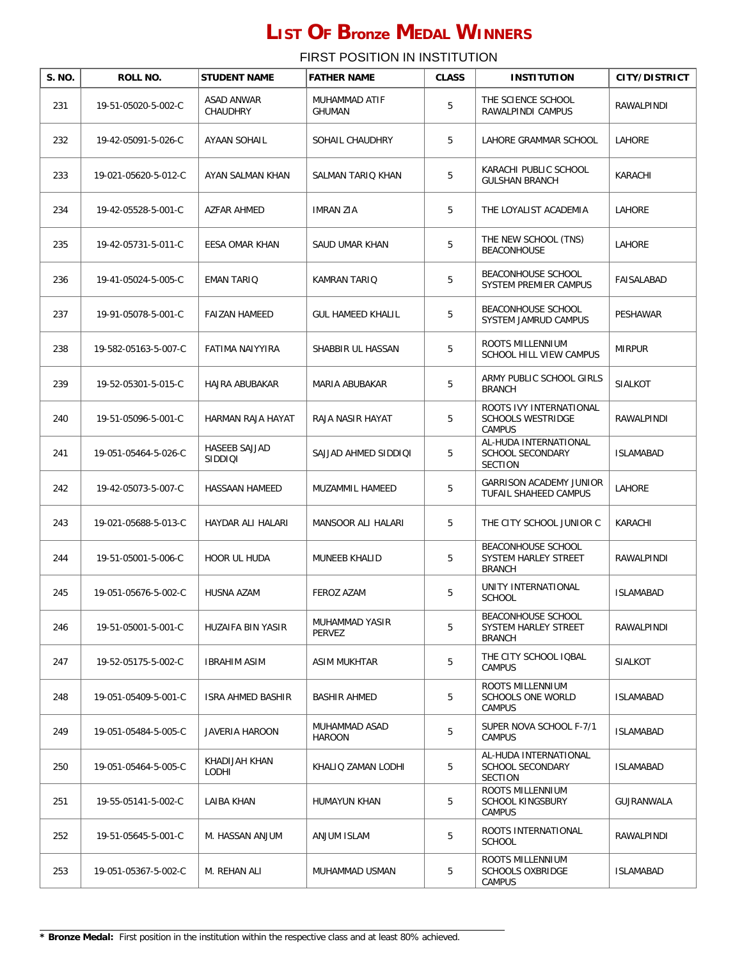| S. NO. | ROLL NO.             | <b>STUDENT NAME</b>           | <b>FATHER NAME</b>             | <b>CLASS</b> | <b>INSTITUTION</b>                                                   | <b>CITY/DISTRICT</b> |
|--------|----------------------|-------------------------------|--------------------------------|--------------|----------------------------------------------------------------------|----------------------|
| 231    | 19-51-05020-5-002-C  | ASAD ANWAR<br><b>CHAUDHRY</b> | MUHAMMAD ATIF<br><b>GHUMAN</b> | 5            | THE SCIENCE SCHOOL<br>RAWALPINDI CAMPUS                              | RAWALPINDI           |
| 232    | 19-42-05091-5-026-C  | AYAAN SOHAIL                  | SOHAIL CHAUDHRY                | 5            | LAHORE GRAMMAR SCHOOL                                                | LAHORE               |
| 233    | 19-021-05620-5-012-C | AYAN SALMAN KHAN              | SALMAN TARIQ KHAN              | 5            | KARACHI PUBLIC SCHOOL<br><b>GULSHAN BRANCH</b>                       | KARACHI              |
| 234    | 19-42-05528-5-001-C  | <b>AZFAR AHMED</b>            | <b>IMRAN ZIA</b>               | 5            | THE LOYALIST ACADEMIA                                                | LAHORE               |
| 235    | 19-42-05731-5-011-C  | EESA OMAR KHAN                | SAUD UMAR KHAN                 | 5            | THE NEW SCHOOL (TNS)<br><b>BEACONHOUSE</b>                           | LAHORE               |
| 236    | 19-41-05024-5-005-C  | <b>EMAN TARIQ</b>             | KAMRAN TARIQ                   | 5            | BEACONHOUSE SCHOOL<br>SYSTEM PREMIER CAMPUS                          | FAISALABAD           |
| 237    | 19-91-05078-5-001-C  | <b>FAIZAN HAMEED</b>          | <b>GUL HAMEED KHALIL</b>       | 5            | <b>BEACONHOUSE SCHOOL</b><br>SYSTEM JAMRUD CAMPUS                    | PESHAWAR             |
| 238    | 19-582-05163-5-007-C | FATIMA NAIYYIRA               | SHABBIR UL HASSAN              | 5            | ROOTS MILLENNIUM<br><b>SCHOOL HILL VIEW CAMPUS</b>                   | <b>MIRPUR</b>        |
| 239    | 19-52-05301-5-015-C  | <b>HAJRA ABUBAKAR</b>         | MARIA ABUBAKAR                 | 5            | ARMY PUBLIC SCHOOL GIRLS<br><b>BRANCH</b>                            | <b>SIALKOT</b>       |
| 240    | 19-51-05096-5-001-C  | HARMAN RAJA HAYAT             | RAJA NASIR HAYAT               | 5            | ROOTS IVY INTERNATIONAL<br><b>SCHOOLS WESTRIDGE</b><br><b>CAMPUS</b> | RAWALPINDI           |
| 241    | 19-051-05464-5-026-C | HASEEB SAJJAD<br>SIDDIQI      | SAJJAD AHMED SIDDIQI           | 5            | AL-HUDA INTERNATIONAL<br>SCHOOL SECONDARY<br><b>SECTION</b>          | <b>ISLAMABAD</b>     |
| 242    | 19-42-05073-5-007-C  | <b>HASSAAN HAMEED</b>         | MUZAMMIL HAMEED                | 5            | <b>GARRISON ACADEMY JUNIOR</b><br>TUFAIL SHAHEED CAMPUS              | LAHORE               |
| 243    | 19-021-05688-5-013-C | HAYDAR ALI HALARI             | MANSOOR ALI HALARI             | 5            | THE CITY SCHOOL JUNIOR C                                             | KARACHI              |
| 244    | 19-51-05001-5-006-C  | HOOR UL HUDA                  | MUNEEB KHALID                  | 5            | BEACONHOUSE SCHOOL<br>SYSTEM HARLEY STREET<br><b>BRANCH</b>          | RAWALPINDI           |
| 245    | 19-051-05676-5-002-C | <b>HUSNA AZAM</b>             | <b>FEROZ AZAM</b>              | 5            | UNITY INTERNATIONAL<br><b>SCHOOL</b>                                 | <b>ISLAMABAD</b>     |
| 246    | 19-51-05001-5-001-C  | HUZAIFA BIN YASIR             | MUHAMMAD YASIR<br>PERVEZ       | 5            | BEACONHOUSE SCHOOL<br>SYSTEM HARLEY STREET<br><b>BRANCH</b>          | RAWALPINDI           |
| 247    | 19-52-05175-5-002-C  | IBRAHIM ASIM                  | ASIM MUKHTAR                   | 5            | THE CITY SCHOOL IOBAL<br><b>CAMPUS</b>                               | <b>SIALKOT</b>       |
| 248    | 19-051-05409-5-001-C | <b>ISRA AHMED BASHIR</b>      | <b>BASHIR AHMED</b>            | 5            | ROOTS MILLENNIUM<br><b>SCHOOLS ONE WORLD</b><br><b>CAMPUS</b>        | <b>ISLAMABAD</b>     |
| 249    | 19-051-05484-5-005-C | JAVERIA HAROON                | MUHAMMAD ASAD<br><b>HAROON</b> | 5            | SUPER NOVA SCHOOL F-7/1<br><b>CAMPUS</b>                             | <b>ISLAMABAD</b>     |
| 250    | 19-051-05464-5-005-C | KHADIJAH KHAN<br>LODHI        | KHALIQ ZAMAN LODHI             | 5            | AL-HUDA INTERNATIONAL<br>SCHOOL SECONDARY<br><b>SECTION</b>          | ISLAMABAD            |
| 251    | 19-55-05141-5-002-C  | LAIBA KHAN                    | HUMAYUN KHAN                   | 5            | ROOTS MILLENNIUM<br><b>SCHOOL KINGSBURY</b><br>CAMPUS                | GUJRANWALA           |
| 252    | 19-51-05645-5-001-C  | M. HASSAN ANJUM               | ANJUM ISLAM                    | 5            | ROOTS INTERNATIONAL<br><b>SCHOOL</b>                                 | RAWALPINDI           |
| 253    | 19-051-05367-5-002-C | M. REHAN ALI                  | MUHAMMAD USMAN                 | 5            | ROOTS MILLENNIUM<br><b>SCHOOLS OXBRIDGE</b><br>CAMPUS                | ISLAMABAD            |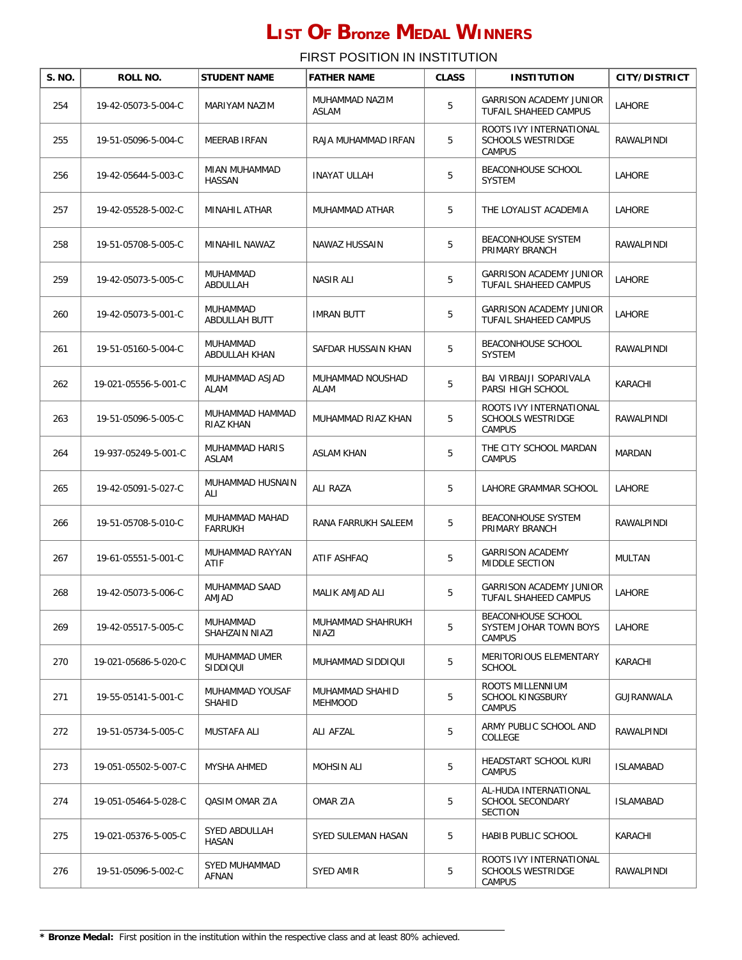| S. NO. | ROLL NO.             | <b>STUDENT NAME</b>              | <b>FATHER NAME</b>                | <b>CLASS</b> | <b>INSTITUTION</b>                                                   | <b>CITY/DISTRICT</b> |
|--------|----------------------|----------------------------------|-----------------------------------|--------------|----------------------------------------------------------------------|----------------------|
| 254    | 19-42-05073-5-004-C  | MARIYAM NAZIM                    | MUHAMMAD NAZIM<br>ASLAM           | 5            | <b>GARRISON ACADEMY JUNIOR</b><br>TUFAIL SHAHEED CAMPUS              | LAHORE               |
| 255    | 19-51-05096-5-004-C  | MEERAB IRFAN                     | RAJA MUHAMMAD IRFAN               | 5            | ROOTS IVY INTERNATIONAL<br><b>SCHOOLS WESTRIDGE</b><br><b>CAMPUS</b> | RAWALPINDI           |
| 256    | 19-42-05644-5-003-C  | MIAN MUHAMMAD<br>HASSAN          | <b>INAYAT ULLAH</b>               | 5            | BEACONHOUSE SCHOOL<br>SYSTEM                                         | LAHORE               |
| 257    | 19-42-05528-5-002-C  | <b>MINAHIL ATHAR</b>             | MUHAMMAD ATHAR                    | 5            | THE LOYALIST ACADEMIA                                                | LAHORE               |
| 258    | 19-51-05708-5-005-C  | MINAHIL NAWAZ                    | NAWAZ HUSSAIN                     | 5            | <b>BEACONHOUSE SYSTEM</b><br>PRIMARY BRANCH                          | RAWALPINDI           |
| 259    | 19-42-05073-5-005-C  | MUHAMMAD<br>ABDULLAH             | NASIR ALI                         | 5            | GARRISON ACADEMY JUNIOR<br>TUFAIL SHAHEED CAMPUS                     | LAHORE               |
| 260    | 19-42-05073-5-001-C  | MUHAMMAD<br>ABDULLAH BUTT        | <b>IMRAN BUTT</b>                 | 5            | GARRISON ACADEMY JUNIOR<br>TUFAIL SHAHEED CAMPUS                     | LAHORE               |
| 261    | 19-51-05160-5-004-C  | MUHAMMAD<br>ABDULLAH KHAN        | SAFDAR HUSSAIN KHAN               | 5            | BEACONHOUSE SCHOOL<br><b>SYSTEM</b>                                  | RAWALPINDI           |
| 262    | 19-021-05556-5-001-C | MUHAMMAD ASJAD<br>ALAM           | MUHAMMAD NOUSHAD<br>ALAM          | 5            | BAI VIRBAIJI SOPARIVALA<br>PARSI HIGH SCHOOL                         | KARACHI              |
| 263    | 19-51-05096-5-005-C  | MUHAMMAD HAMMAD<br>RIAZ KHAN     | MUHAMMAD RIAZ KHAN                | 5            | ROOTS IVY INTERNATIONAL<br><b>SCHOOLS WESTRIDGE</b><br><b>CAMPUS</b> | RAWALPINDI           |
| 264    | 19-937-05249-5-001-C | MUHAMMAD HARIS<br>ASLAM          | <b>ASLAM KHAN</b>                 | 5            | THE CITY SCHOOL MARDAN<br><b>CAMPUS</b>                              | MARDAN               |
| 265    | 19-42-05091-5-027-C  | MUHAMMAD HUSNAIN<br>ALI          | ALI RAZA                          | 5            | LAHORE GRAMMAR SCHOOL                                                | LAHORE               |
| 266    | 19-51-05708-5-010-C  | MUHAMMAD MAHAD<br><b>FARRUKH</b> | RANA FARRUKH SALEEM               | 5            | <b>BEACONHOUSE SYSTEM</b><br>PRIMARY BRANCH                          | RAWALPINDI           |
| 267    | 19-61-05551-5-001-C  | MUHAMMAD RAYYAN<br><b>ATIF</b>   | ATIF ASHFAQ                       | 5            | <b>GARRISON ACADEMY</b><br>MIDDLE SECTION                            | <b>MULTAN</b>        |
| 268    | 19-42-05073-5-006-C  | MUHAMMAD SAAD<br>AMJAD           | MALIK AMJAD ALI                   | 5            | GARRISON ACADEMY JUNIOR<br>TUFAIL SHAHEED CAMPUS                     | LAHORE               |
| 269    | 19-42-05517-5-005-C  | MUHAMMAD<br>SHAHZAIN NIAZI       | MUHAMMAD SHAHRUKH<br>NIAZI        | 5            | BEACONHOUSE SCHOOL<br>SYSTEM JOHAR TOWN BOYS<br><b>CAMPUS</b>        | LAHORE               |
| 270    | 19-021-05686-5-020-C | MUHAMMAD UMER<br>SIDDIQUI        | MUHAMMAD SIDDIQUI                 | 5            | MERITORIOUS ELEMENTARY<br><b>SCHOOL</b>                              | KARACHI              |
| 271    | 19-55-05141-5-001-C  | MUHAMMAD YOUSAF<br>SHAHID        | MUHAMMAD SHAHID<br><b>MEHMOOD</b> | 5            | ROOTS MILLENNIUM<br><b>SCHOOL KINGSBURY</b><br>CAMPUS                | GUJRANWALA           |
| 272    | 19-51-05734-5-005-C  | MUSTAFA ALI                      | ALI AFZAL                         | 5            | ARMY PUBLIC SCHOOL AND<br>COLLEGE                                    | RAWALPINDI           |
| 273    | 19-051-05502-5-007-C | MYSHA AHMED                      | <b>MOHSIN ALI</b>                 | 5            | HEADSTART SCHOOL KURI<br><b>CAMPUS</b>                               | <b>ISLAMABAD</b>     |
| 274    | 19-051-05464-5-028-C | <b>QASIM OMAR ZIA</b>            | OMAR ZIA                          | 5            | AL-HUDA INTERNATIONAL<br>SCHOOL SECONDARY<br>SECTION                 | <b>ISLAMABAD</b>     |
| 275    | 19-021-05376-5-005-C | SYED ABDULLAH<br>HASAN           | SYED SULEMAN HASAN                | 5            | HABIB PUBLIC SCHOOL                                                  | KARACHI              |
| 276    | 19-51-05096-5-002-C  | SYED MUHAMMAD<br>AFNAN           | SYED AMIR                         | 5            | ROOTS IVY INTERNATIONAL<br><b>SCHOOLS WESTRIDGE</b><br><b>CAMPUS</b> | RAWALPINDI           |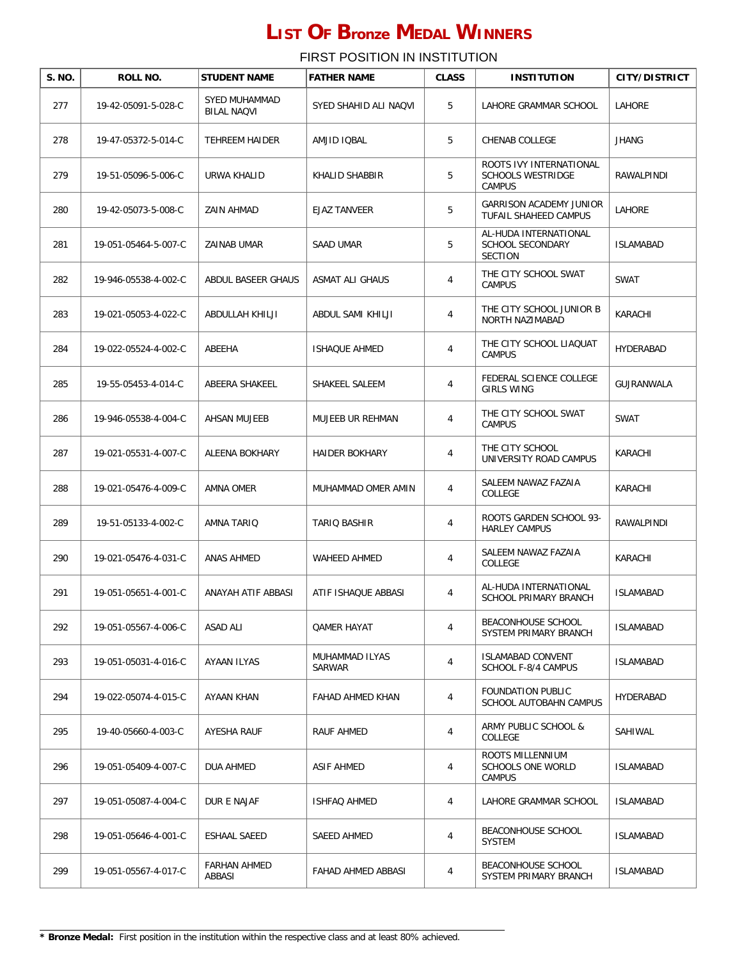| S. NO. | ROLL NO.             | <b>STUDENT NAME</b>                 | <b>FATHER NAME</b>       | <b>CLASS</b>   |                                                                      | <b>CITY/DISTRICT</b> |
|--------|----------------------|-------------------------------------|--------------------------|----------------|----------------------------------------------------------------------|----------------------|
|        |                      |                                     |                          |                | <b>INSTITUTION</b>                                                   |                      |
| 277    | 19-42-05091-5-028-C  | SYED MUHAMMAD<br><b>BILAL NAQVI</b> | SYED SHAHID ALI NAQVI    | 5              | LAHORE GRAMMAR SCHOOL                                                | LAHORE               |
| 278    | 19-47-05372-5-014-C  | TEHREEM HAIDER                      | AMJID IQBAL              | 5              | CHENAB COLLEGE                                                       | <b>JHANG</b>         |
| 279    | 19-51-05096-5-006-C  | URWA KHALID                         | KHALID SHABBIR           | 5              | ROOTS IVY INTERNATIONAL<br><b>SCHOOLS WESTRIDGE</b><br><b>CAMPUS</b> | RAWALPINDI           |
| 280    | 19-42-05073-5-008-C  | ZAIN AHMAD                          | <b>EJAZ TANVEER</b>      | 5              | <b>GARRISON ACADEMY JUNIOR</b><br><b>TUFAIL SHAHEED CAMPUS</b>       | LAHORE               |
| 281    | 19-051-05464-5-007-C | ZAINAB UMAR                         | SAAD UMAR                | 5              | AL-HUDA INTERNATIONAL<br>SCHOOL SECONDARY<br><b>SECTION</b>          | <b>ISLAMABAD</b>     |
| 282    | 19-946-05538-4-002-C | ABDUL BASEER GHAUS                  | <b>ASMAT ALI GHAUS</b>   | 4              | THE CITY SCHOOL SWAT<br><b>CAMPUS</b>                                | SWAT                 |
| 283    | 19-021-05053-4-022-C | ABDULLAH KHILJI                     | ABDUL SAMI KHILJI        | $\overline{4}$ | THE CITY SCHOOL JUNIOR B<br>NORTH NAZIMABAD                          | KARACHI              |
| 284    | 19-022-05524-4-002-C | ABEEHA                              | <b>ISHAQUE AHMED</b>     | 4              | THE CITY SCHOOL LIAQUAT<br><b>CAMPUS</b>                             | <b>HYDERABAD</b>     |
| 285    | 19-55-05453-4-014-C  | ABEERA SHAKEEL                      | SHAKEEL SALEEM           | $\overline{4}$ | FEDERAL SCIENCE COLLEGE<br><b>GIRLS WING</b>                         | GUJRANWALA           |
| 286    | 19-946-05538-4-004-C | AHSAN MUJEEB                        | MUJEEB UR REHMAN         | $\overline{4}$ | THE CITY SCHOOL SWAT<br><b>CAMPUS</b>                                | SWAT                 |
| 287    | 19-021-05531-4-007-C | ALEENA BOKHARY                      | <b>HAIDER BOKHARY</b>    | 4              | THE CITY SCHOOL<br>UNIVERSITY ROAD CAMPUS                            | KARACHI              |
| 288    | 19-021-05476-4-009-C | AMNA OMER                           | MUHAMMAD OMER AMIN       | 4              | SALEEM NAWAZ FAZAIA<br>COLLEGE                                       | KARACHI              |
| 289    | 19-51-05133-4-002-C  | AMNA TARIQ                          | TARIQ BASHIR             | 4              | ROOTS GARDEN SCHOOL 93-<br><b>HARLEY CAMPUS</b>                      | RAWALPINDI           |
| 290    | 19-021-05476-4-031-C | ANAS AHMED                          | <b>WAHEED AHMED</b>      | $\overline{4}$ | SALEEM NAWAZ FAZAIA<br>COLLEGE                                       | KARACHI              |
| 291    | 19-051-05651-4-001-C | ANAYAH ATIF ABBASI                  | ATIF ISHAQUE ABBASI      | $\overline{4}$ | AL-HUDA INTERNATIONAL<br>SCHOOL PRIMARY BRANCH                       | <b>ISLAMABAD</b>     |
| 292    | 19-051-05567-4-006-C | <b>ASAD ALI</b>                     | <b>QAMER HAYAT</b>       | 4              | BEACONHOUSE SCHOOL<br>SYSTEM PRIMARY BRANCH                          | <b>ISLAMABAD</b>     |
| 293    | 19-051-05031-4-016-C | AYAAN ILYAS                         | MUHAMMAD ILYAS<br>SARWAR | 4              | <b>ISLAMABAD CONVENT</b><br>SCHOOL F-8/4 CAMPUS                      | <b>ISLAMABAD</b>     |
| 294    | 19-022-05074-4-015-C | AYAAN KHAN                          | FAHAD AHMED KHAN         | 4              | FOUNDATION PUBLIC<br>SCHOOL AUTOBAHN CAMPUS                          | HYDERABAD            |
| 295    | 19-40-05660-4-003-C  | AYESHA RAUF                         | RAUF AHMED               | 4              | ARMY PUBLIC SCHOOL &<br>COLLEGE                                      | SAHIWAL              |
| 296    | 19-051-05409-4-007-C | DUA AHMED                           | <b>ASIF AHMED</b>        | 4              | ROOTS MILLENNIUM<br>SCHOOLS ONE WORLD<br><b>CAMPUS</b>               | ISLAMABAD            |
| 297    | 19-051-05087-4-004-C | DUR E NAJAF                         | <b>ISHFAQ AHMED</b>      | 4              | LAHORE GRAMMAR SCHOOL                                                | ISLAMABAD            |
| 298    | 19-051-05646-4-001-C | ESHAAL SAEED                        | SAEED AHMED              | 4              | BEACONHOUSE SCHOOL<br>SYSTEM                                         | <b>ISLAMABAD</b>     |
| 299    | 19-051-05567-4-017-C | <b>FARHAN AHMED</b><br>ABBASI       | FAHAD AHMED ABBASI       | 4              | BEACONHOUSE SCHOOL<br>SYSTEM PRIMARY BRANCH                          | <b>ISLAMABAD</b>     |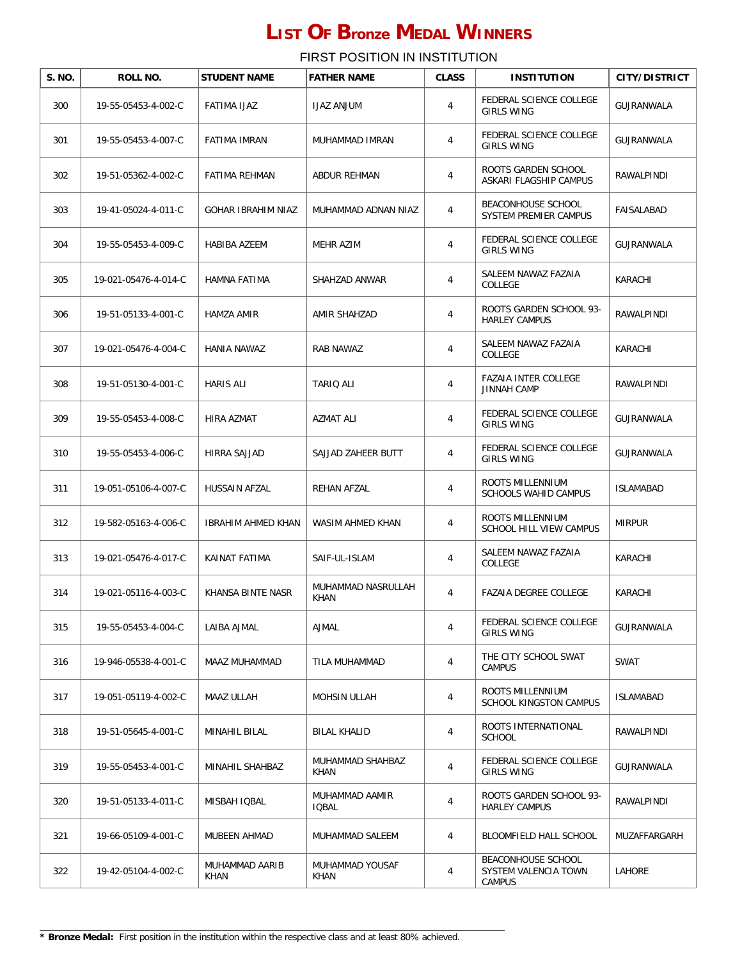| S. NO. | ROLL NO.             | <b>STUDENT NAME</b>       | <b>FATHER NAME</b>                | <b>CLASS</b>   | <b>INSTITUTION</b>                                   | <b>CITY/DISTRICT</b> |
|--------|----------------------|---------------------------|-----------------------------------|----------------|------------------------------------------------------|----------------------|
| 300    | 19-55-05453-4-002-C  | FATIMA IJAZ               | <b>IJAZ ANJUM</b>                 | 4              | FEDERAL SCIENCE COLLEGE<br><b>GIRLS WING</b>         | GUJRANWALA           |
| 301    | 19-55-05453-4-007-C  | <b>FATIMA IMRAN</b>       | MUHAMMAD IMRAN                    | $\overline{4}$ | FEDERAL SCIENCE COLLEGE<br><b>GIRLS WING</b>         | GUJRANWALA           |
| 302    | 19-51-05362-4-002-C  | <b>FATIMA REHMAN</b>      | ABDUR REHMAN                      | 4              | ROOTS GARDEN SCHOOL<br>ASKARI FLAGSHIP CAMPUS        | RAWALPINDI           |
| 303    | 19-41-05024-4-011-C  | <b>GOHAR IBRAHIM NIAZ</b> | MUHAMMAD ADNAN NIAZ               | 4              | <b>BEACONHOUSE SCHOOL</b><br>SYSTEM PREMIER CAMPUS   | FAISALABAD           |
| 304    | 19-55-05453-4-009-C  | HABIBA AZEEM              | MEHR AZIM                         | 4              | FEDERAL SCIENCE COLLEGE<br><b>GIRLS WING</b>         | GUJRANWALA           |
| 305    | 19-021-05476-4-014-C | HAMNA FATIMA              | SHAHZAD ANWAR                     | 4              | SALEEM NAWAZ FAZAIA<br>COLLEGE                       | KARACHI              |
| 306    | 19-51-05133-4-001-C  | HAMZA AMIR                | AMIR SHAHZAD                      | 4              | ROOTS GARDEN SCHOOL 93-<br><b>HARLEY CAMPUS</b>      | RAWALPINDI           |
| 307    | 19-021-05476-4-004-C | HANIA NAWAZ               | RAB NAWAZ                         | 4              | SALEEM NAWAZ FAZAIA<br>COLLEGE                       | KARACHI              |
| 308    | 19-51-05130-4-001-C  | <b>HARIS ALI</b>          | <b>TARIO ALI</b>                  | 4              | <b>FAZAIA INTER COLLEGE</b><br><b>JINNAH CAMP</b>    | RAWALPINDI           |
| 309    | 19-55-05453-4-008-C  | HIRA AZMAT                | <b>AZMAT ALI</b>                  | 4              | FEDERAL SCIENCE COLLEGE<br><b>GIRLS WING</b>         | GUJRANWALA           |
| 310    | 19-55-05453-4-006-C  | HIRRA SAJJAD              | SAJJAD ZAHEER BUTT                | 4              | FEDERAL SCIENCE COLLEGE<br><b>GIRLS WING</b>         | GUJRANWALA           |
| 311    | 19-051-05106-4-007-C | HUSSAIN AFZAL             | REHAN AFZAL                       | 4              | ROOTS MILLENNIUM<br><b>SCHOOLS WAHID CAMPUS</b>      | ISLAMABAD            |
| 312    | 19-582-05163-4-006-C | <b>IBRAHIM AHMED KHAN</b> | WASIM AHMED KHAN                  | 4              | ROOTS MILLENNIUM<br>SCHOOL HILL VIEW CAMPUS          | <b>MIRPUR</b>        |
| 313    | 19-021-05476-4-017-C | KAINAT FATIMA             | SAIF-UL-ISLAM                     | 4              | SALEEM NAWAZ FAZAIA<br>COLLEGE                       | KARACHI              |
| 314    | 19-021-05116-4-003-C | KHANSA BINTE NASR         | MUHAMMAD NASRULLAH<br><b>KHAN</b> | 4              | FAZAIA DEGREE COLLEGE                                | KARACHI              |
| 315    | 19-55-05453-4-004-C  | LAIBA AJMAL               | <b>AJMAL</b>                      | 4              | FEDERAL SCIENCE COLLEGE<br><b>GIRLS WING</b>         | <b>GUJRANWALA</b>    |
| 316    | 19-946-05538-4-001-C | MAAZ MUHAMMAD             | TILA MUHAMMAD                     | 4              | THE CITY SCHOOL SWAT<br>CAMPUS                       | SWAT                 |
| 317    | 19-051-05119-4-002-C | MAAZ ULLAH                | <b>MOHSIN ULLAH</b>               | 4              | ROOTS MILLENNIUM<br>SCHOOL KINGSTON CAMPUS           | ISLAMABAD            |
| 318    | 19-51-05645-4-001-C  | MINAHIL BILAL             | <b>BILAL KHALID</b>               | 4              | ROOTS INTERNATIONAL<br><b>SCHOOL</b>                 | RAWALPINDI           |
| 319    | 19-55-05453-4-001-C  | MINAHIL SHAHBAZ           | MUHAMMAD SHAHBAZ<br>KHAN          | 4              | FEDERAL SCIENCE COLLEGE<br><b>GIRLS WING</b>         | GUJRANWALA           |
| 320    | 19-51-05133-4-011-C  | MISBAH IQBAL              | MUHAMMAD AAMIR<br><b>IQBAL</b>    | 4              | ROOTS GARDEN SCHOOL 93-<br><b>HARLEY CAMPUS</b>      | RAWALPINDI           |
| 321    | 19-66-05109-4-001-C  | MUBEEN AHMAD              | MUHAMMAD SALEEM                   | 4              | BLOOMFIELD HALL SCHOOL                               | MUZAFFARGARH         |
| 322    | 19-42-05104-4-002-C  | MUHAMMAD AARIB<br>KHAN    | MUHAMMAD YOUSAF<br>KHAN           | 4              | BEACONHOUSE SCHOOL<br>SYSTEM VALENCIA TOWN<br>CAMPUS | LAHORE               |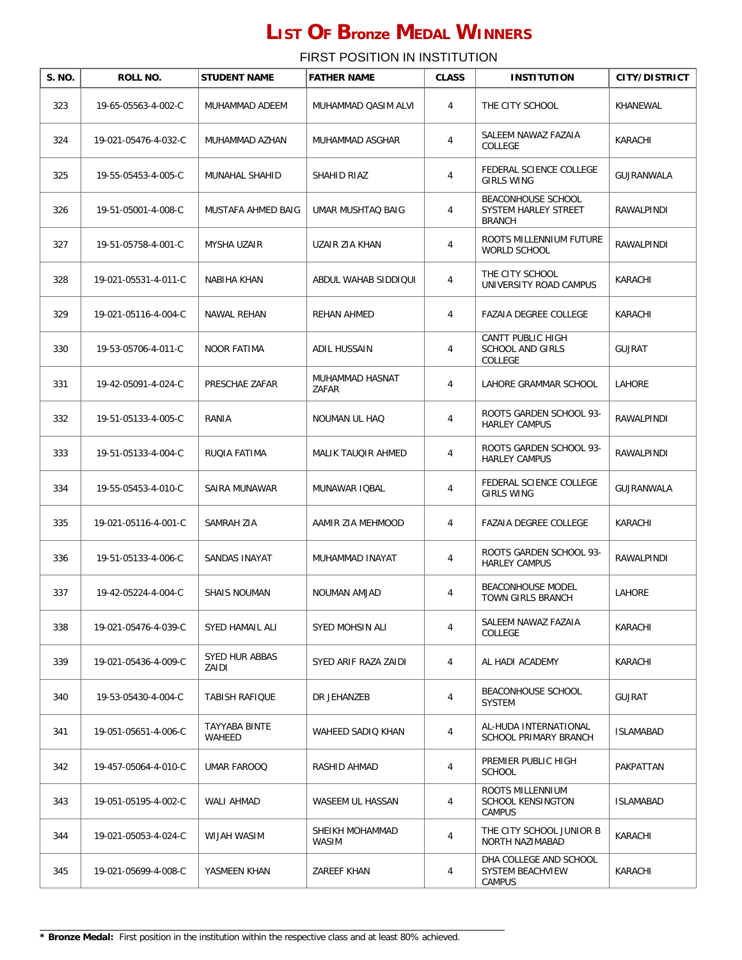| <b>S. NO.</b> | ROLL NO.             | <b>STUDENT NAME</b>     | <b>FATHER NAME</b>        | <b>CLASS</b> | <b>INSTITUTION</b>                                          | <b>CITY/DISTRICT</b> |
|---------------|----------------------|-------------------------|---------------------------|--------------|-------------------------------------------------------------|----------------------|
| 323           | 19-65-05563-4-002-C  | MUHAMMAD ADEEM          | MUHAMMAD QASIM ALVI       | 4            | THE CITY SCHOOL                                             | KHANEWAL             |
| 324           | 19-021-05476-4-032-C | MUHAMMAD AZHAN          | MUHAMMAD ASGHAR           | 4            | SALEEM NAWAZ FAZAIA<br><b>COLLEGE</b>                       | KARACHI              |
| 325           | 19-55-05453-4-005-C  | MUNAHAL SHAHID          | SHAHID RIAZ               | 4            | FEDERAL SCIENCE COLLEGE<br><b>GIRLS WING</b>                | GUJRANWALA           |
| 326           | 19-51-05001-4-008-C  | MUSTAFA AHMED BAIG      | UMAR MUSHTAQ BAIG         | 4            | BEACONHOUSE SCHOOL<br>SYSTEM HARLEY STREET<br><b>BRANCH</b> | RAWALPINDI           |
| 327           | 19-51-05758-4-001-C  | MYSHA UZAIR             | UZAIR ZIA KHAN            | 4            | ROOTS MILLENNIUM FUTURE<br><b>WORLD SCHOOL</b>              | RAWALPINDI           |
| 328           | 19-021-05531-4-011-C | NABIHA KHAN             | ABDUL WAHAB SIDDIQUI      | 4            | THE CITY SCHOOL<br>UNIVERSITY ROAD CAMPUS                   | KARACHI              |
| 329           | 19-021-05116-4-004-C | NAWAL REHAN             | REHAN AHMED               | 4            | FAZAIA DEGREE COLLEGE                                       | KARACHI              |
| 330           | 19-53-05706-4-011-C  | <b>NOOR FATIMA</b>      | ADIL HUSSAIN              | 4            | CANTT PUBLIC HIGH<br><b>SCHOOL AND GIRLS</b><br>COLLEGE     | <b>GUJRAT</b>        |
| 331           | 19-42-05091-4-024-C  | PRESCHAE ZAFAR          | MUHAMMAD HASNAT<br>ZAFAR  | 4            | LAHORE GRAMMAR SCHOOL                                       | LAHORE               |
| 332           | 19-51-05133-4-005-C  | RANIA                   | NOUMAN UL HAQ             | 4            | ROOTS GARDEN SCHOOL 93-<br><b>HARLEY CAMPUS</b>             | RAWALPINDI           |
| 333           | 19-51-05133-4-004-C  | RUQIA FATIMA            | <b>MALIK TAUQIR AHMED</b> | 4            | ROOTS GARDEN SCHOOL 93-<br><b>HARLEY CAMPUS</b>             | RAWALPINDI           |
| 334           | 19-55-05453-4-010-C  | SAIRA MUNAWAR           | MUNAWAR IQBAL             | 4            | FEDERAL SCIENCE COLLEGE<br><b>GIRLS WING</b>                | GUJRANWALA           |
| 335           | 19-021-05116-4-001-C | SAMRAH ZIA              | AAMIR ZIA MEHMOOD         | 4            | FAZAIA DEGREE COLLEGE                                       | KARACHI              |
| 336           | 19-51-05133-4-006-C  | SANDAS INAYAT           | MUHAMMAD INAYAT           | 4            | ROOTS GARDEN SCHOOL 93-<br><b>HARLEY CAMPUS</b>             | RAWALPINDI           |
| 337           | 19-42-05224-4-004-C  | <b>SHAIS NOUMAN</b>     | NOUMAN AMJAD              | 4            | <b>BEACONHOUSE MODEL</b><br>TOWN GIRLS BRANCH               | LAHORE               |
| 338           | 19-021-05476-4-039-C | SYED HAMAIL ALI         | SYED MOHSIN ALI           | 4            | SALEEM NAWAZ FAZAIA<br>COLLEGE                              | KARACHI              |
| 339           | 19-021-05436-4-009-C | SYED HUR ABBAS<br>ZAIDI | SYED ARIF RAZA ZAIDI      | 4            | AL HADI ACADEMY                                             | KARACHI              |
| 340           | 19-53-05430-4-004-C  | <b>TABISH RAFIQUE</b>   | DR JEHANZEB               | 4            | <b>BEACONHOUSE SCHOOL</b><br>SYSTEM                         | <b>GUJRAT</b>        |
| 341           | 19-051-05651-4-006-C | TAYYABA BINTE<br>WAHEED | WAHEED SADIQ KHAN         | 4            | AL-HUDA INTERNATIONAL<br>SCHOOL PRIMARY BRANCH              | <b>ISLAMABAD</b>     |
| 342           | 19-457-05064-4-010-C | UMAR FAROOQ             | RASHID AHMAD              | 4            | PREMIER PUBLIC HIGH<br><b>SCHOOL</b>                        | PAKPATTAN            |
| 343           | 19-051-05195-4-002-C | WALI AHMAD              | WASEEM UL HASSAN          | 4            | ROOTS MILLENNIUM<br><b>SCHOOL KENSINGTON</b><br>CAMPUS      | ISLAMABAD            |
| 344           | 19-021-05053-4-024-C | WIJAH WASIM             | SHEIKH MOHAMMAD<br>WASIM  | 4            | THE CITY SCHOOL JUNIOR B<br>NORTH NAZIMABAD                 | KARACHI              |
| 345           | 19-021-05699-4-008-C | YASMEEN KHAN            | ZAREEF KHAN               | 4            | DHA COLLEGE AND SCHOOL<br>SYSTEM BEACHVIEW<br>CAMPUS        | KARACHI              |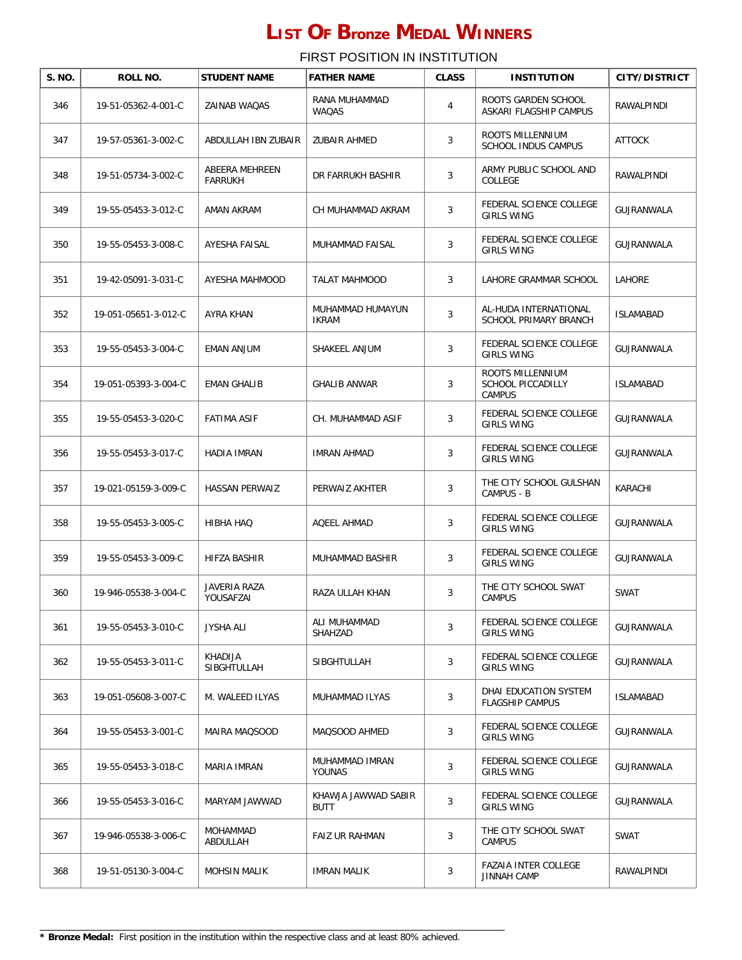| S. NO. | ROLL NO.             | <b>STUDENT NAME</b>              | <b>FATHER NAME</b>                 | <b>CLASS</b> | <b>INSTITUTION</b>                                            | <b>CITY/DISTRICT</b> |
|--------|----------------------|----------------------------------|------------------------------------|--------------|---------------------------------------------------------------|----------------------|
| 346    | 19-51-05362-4-001-C  | ZAINAB WAQAS                     | RANA MUHAMMAD<br><b>WAQAS</b>      | 4            | ROOTS GARDEN SCHOOL<br>ASKARI FLAGSHIP CAMPUS                 | RAWALPINDI           |
| 347    | 19-57-05361-3-002-C  | ABDULLAH IBN ZUBAIR              | <b>ZUBAIR AHMED</b>                | 3            | ROOTS MILLENNIUM<br>SCHOOL INDUS CAMPUS                       | <b>ATTOCK</b>        |
| 348    | 19-51-05734-3-002-C  | ABEERA MEHREEN<br><b>FARRUKH</b> | DR FARRUKH BASHIR                  | 3            | ARMY PUBLIC SCHOOL AND<br>COLLEGE                             | RAWALPINDI           |
| 349    | 19-55-05453-3-012-C  | AMAN AKRAM                       | CH MUHAMMAD AKRAM                  | 3            | FEDERAL SCIENCE COLLEGE<br><b>GIRLS WING</b>                  | <b>GUJRANWALA</b>    |
| 350    | 19-55-05453-3-008-C  | AYESHA FAISAL                    | MUHAMMAD FAISAL                    | 3            | FEDERAL SCIENCE COLLEGE<br><b>GIRLS WING</b>                  | GUJRANWALA           |
| 351    | 19-42-05091-3-031-C  | AYESHA MAHMOOD                   | <b>TALAT MAHMOOD</b>               | 3            | LAHORE GRAMMAR SCHOOL                                         | LAHORE               |
| 352    | 19-051-05651-3-012-C | AYRA KHAN                        | MUHAMMAD HUMAYUN<br><b>IKRAM</b>   | 3            | AL-HUDA INTERNATIONAL<br><b>SCHOOL PRIMARY BRANCH</b>         | <b>ISLAMABAD</b>     |
| 353    | 19-55-05453-3-004-C  | EMAN ANJUM                       | SHAKEEL ANJUM                      | 3            | FEDERAL SCIENCE COLLEGE<br>GIRLS WING                         | GUJRANWALA           |
| 354    | 19-051-05393-3-004-C | <b>EMAN GHALIB</b>               | <b>GHALIB ANWAR</b>                | 3            | ROOTS MILLENNIUM<br><b>SCHOOL PICCADILLY</b><br><b>CAMPUS</b> | <b>ISLAMABAD</b>     |
| 355    | 19-55-05453-3-020-C  | <b>FATIMA ASIF</b>               | CH. MUHAMMAD ASIF                  | 3            | FEDERAL SCIENCE COLLEGE<br><b>GIRLS WING</b>                  | GUJRANWALA           |
| 356    | 19-55-05453-3-017-C  | <b>HADIA IMRAN</b>               | <b>IMRAN AHMAD</b>                 | 3            | FEDERAL SCIENCE COLLEGE<br><b>GIRLS WING</b>                  | GUJRANWALA           |
| 357    | 19-021-05159-3-009-C | <b>HASSAN PERWAIZ</b>            | PERWAIZ AKHTER                     | 3            | THE CITY SCHOOL GULSHAN<br>CAMPUS - B                         | KARACHI              |
| 358    | 19-55-05453-3-005-C  | HIBHA HAQ                        | AQEEL AHMAD                        | 3            | FEDERAL SCIENCE COLLEGE<br><b>GIRLS WING</b>                  | GUJRANWALA           |
| 359    | 19-55-05453-3-009-C  | HIFZA BASHIR                     | MUHAMMAD BASHIR                    | 3            | FEDERAL SCIENCE COLLEGE<br><b>GIRLS WING</b>                  | GUJRANWALA           |
| 360    | 19-946-05538-3-004-C | JAVERIA RAZA<br>YOUSAFZAI        | RAZA ULLAH KHAN                    | 3            | THE CITY SCHOOL SWAT<br><b>CAMPUS</b>                         | SWAT                 |
| 361    | 19-55-05453-3-010-C  | <b>JYSHA ALI</b>                 | ALI MUHAMMAD<br>SHAHZAD            | 3            | FEDERAL SCIENCE COLLEGE<br>GIRLS WING                         | GUJRANWALA           |
| 362    | 19-55-05453-3-011-C  | KHADIJA<br>SIBGHTULLAH           | SIBGHTULLAH                        | 3            | FEDERAL SCIENCE COLLEGE<br><b>GIRLS WING</b>                  | GUJRANWALA           |
| 363    | 19-051-05608-3-007-C | M. WALEED ILYAS                  | MUHAMMAD ILYAS                     | 3            | DHAI EDUCATION SYSTEM<br><b>FLAGSHIP CAMPUS</b>               | <b>ISLAMABAD</b>     |
| 364    | 19-55-05453-3-001-C  | MAIRA MAQSOOD                    | MAQSOOD AHMED                      | 3            | FEDERAL SCIENCE COLLEGE<br><b>GIRLS WING</b>                  | GUJRANWALA           |
| 365    | 19-55-05453-3-018-C  | MARIA IMRAN                      | MUHAMMAD IMRAN<br>YOUNAS           | 3            | FEDERAL SCIENCE COLLEGE<br><b>GIRLS WING</b>                  | GUJRANWALA           |
| 366    | 19-55-05453-3-016-C  | MARYAM JAWWAD                    | KHAWJA JAWWAD SABIR<br><b>BUTT</b> | 3            | FEDERAL SCIENCE COLLEGE<br><b>GIRLS WING</b>                  | GUJRANWALA           |
| 367    | 19-946-05538-3-006-C | MOHAMMAD<br>ABDULLAH             | FAIZ UR RAHMAN                     | 3            | THE CITY SCHOOL SWAT<br>CAMPUS                                | SWAT                 |
| 368    | 19-51-05130-3-004-C  | MOHSIN MALIK                     | <b>IMRAN MALIK</b>                 | 3            | <b>FAZAIA INTER COLLEGE</b><br>JINNAH CAMP                    | RAWALPINDI           |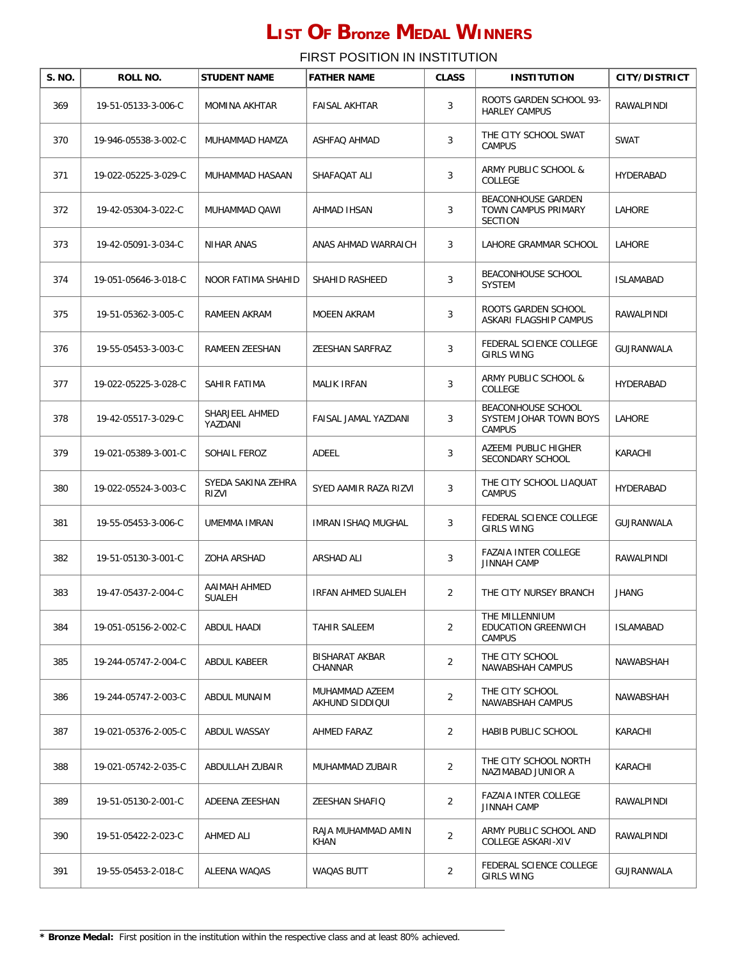| S. NO. | ROLL NO.             | <b>STUDENT NAME</b>         | <b>FATHER NAME</b>                | <b>CLASS</b>   | <b>INSTITUTION</b>                                                   | <b>CITY/DISTRICT</b> |
|--------|----------------------|-----------------------------|-----------------------------------|----------------|----------------------------------------------------------------------|----------------------|
| 369    | 19-51-05133-3-006-C  | <b>MOMINA AKHTAR</b>        | <b>FAISAL AKHTAR</b>              | 3              | ROOTS GARDEN SCHOOL 93-<br><b>HARLEY CAMPUS</b>                      | RAWALPINDI           |
| 370    | 19-946-05538-3-002-C | MUHAMMAD HAMZA              | ASHFAQ AHMAD                      | 3              | THE CITY SCHOOL SWAT<br><b>CAMPUS</b>                                | SWAT                 |
| 371    | 19-022-05225-3-029-C | MUHAMMAD HASAAN             | SHAFAQAT ALI                      | 3              | ARMY PUBLIC SCHOOL &<br>COLLEGE                                      | HYDERABAD            |
| 372    | 19-42-05304-3-022-C  | MUHAMMAD QAWI               | AHMAD IHSAN                       | 3              | BEACONHOUSE GARDEN<br>TOWN CAMPUS PRIMARY<br><b>SECTION</b>          | <b>LAHORE</b>        |
| 373    | 19-42-05091-3-034-C  | NIHAR ANAS                  | ANAS AHMAD WARRAICH               | 3              | LAHORE GRAMMAR SCHOOL                                                | LAHORE               |
| 374    | 19-051-05646-3-018-C | NOOR FATIMA SHAHID          | SHAHID RASHEED                    | 3              | BEACONHOUSE SCHOOL<br>SYSTEM                                         | <b>ISLAMABAD</b>     |
| 375    | 19-51-05362-3-005-C  | RAMEEN AKRAM                | MOEEN AKRAM                       | 3              | ROOTS GARDEN SCHOOL<br>ASKARI FLAGSHIP CAMPUS                        | RAWALPINDI           |
| 376    | 19-55-05453-3-003-C  | <b>RAMEEN ZEESHAN</b>       | ZEESHAN SARFRAZ                   | 3              | FEDERAL SCIENCE COLLEGE<br><b>GIRLS WING</b>                         | GUJRANWALA           |
| 377    | 19-022-05225-3-028-C | SAHIR FATIMA                | <b>MALIK IRFAN</b>                | 3              | ARMY PUBLIC SCHOOL &<br>COLLEGE                                      | HYDERABAD            |
| 378    | 19-42-05517-3-029-C  | SHARJEEL AHMED<br>YAZDANI   | FAISAL JAMAL YAZDANI              | 3              | <b>BEACONHOUSE SCHOOL</b><br>SYSTEM JOHAR TOWN BOYS<br><b>CAMPUS</b> | LAHORE               |
| 379    | 19-021-05389-3-001-C | SOHAIL FEROZ                | ADEEL                             | 3              | AZEEMI PUBLIC HIGHER<br>SECONDARY SCHOOL                             | KARACHI              |
| 380    | 19-022-05524-3-003-C | SYEDA SAKINA ZEHRA<br>RIZVI | SYED AAMIR RAZA RIZVI             | 3              | THE CITY SCHOOL LIAQUAT<br><b>CAMPUS</b>                             | HYDERABAD            |
| 381    | 19-55-05453-3-006-C  | UMEMMA IMRAN                | IMRAN ISHAQ MUGHAL                | 3              | FEDERAL SCIENCE COLLEGE<br><b>GIRLS WING</b>                         | GUJRANWALA           |
| 382    | 19-51-05130-3-001-C  | ZOHA ARSHAD                 | ARSHAD ALI                        | 3              | <b>FAZAIA INTER COLLEGE</b><br><b>JINNAH CAMP</b>                    | RAWALPINDI           |
| 383    | 19-47-05437-2-004-C  | AAIMAH AHMED<br>SUALEH      | IRFAN AHMED SUALEH                | 2              | THE CITY NURSEY BRANCH                                               | <b>JHANG</b>         |
| 384    | 19-051-05156-2-002-C | ABDUL HAADI                 | TAHIR SALEEM                      | 2              | THE MILLENNIUM<br>EDUCATION GREENWICH<br>CAMPUS                      | <b>ISLAMABAD</b>     |
| 385    | 19-244-05747-2-004-C | ABDUL KABEER                | BISHARAT AKBAR<br>CHANNAR         | $\overline{2}$ | THE CITY SCHOOL<br>NAWABSHAH CAMPUS                                  | NAWABSHAH            |
| 386    | 19-244-05747-2-003-C | ABDUL MUNAIM                | MUHAMMAD AZEEM<br>AKHUND SIDDIQUI | 2              | THE CITY SCHOOL<br>NAWABSHAH CAMPUS                                  | NAWABSHAH            |
| 387    | 19-021-05376-2-005-C | ABDUL WASSAY                | <b>AHMED FARAZ</b>                | 2              | HABIB PUBLIC SCHOOL                                                  | KARACHI              |
| 388    | 19-021-05742-2-035-C | ABDULLAH ZUBAIR             | MUHAMMAD ZUBAIR                   | $\overline{2}$ | THE CITY SCHOOL NORTH<br>NAZIMABAD JUNIOR A                          | KARACHI              |
| 389    | 19-51-05130-2-001-C  | ADEENA ZEESHAN              | ZEESHAN SHAFIQ                    | $\overline{2}$ | FAZAIA INTER COLLEGE<br><b>JINNAH CAMP</b>                           | RAWALPINDI           |
| 390    | 19-51-05422-2-023-C  | AHMED ALI                   | RAJA MUHAMMAD AMIN<br>KHAN        | $\overline{2}$ | ARMY PUBLIC SCHOOL AND<br>COLLEGE ASKARI-XIV                         | RAWALPINDI           |
| 391    | 19-55-05453-2-018-C  | ALEENA WAQAS                | WAQAS BUTT                        | $\overline{2}$ | FEDERAL SCIENCE COLLEGE<br><b>GIRLS WING</b>                         | GUJRANWALA           |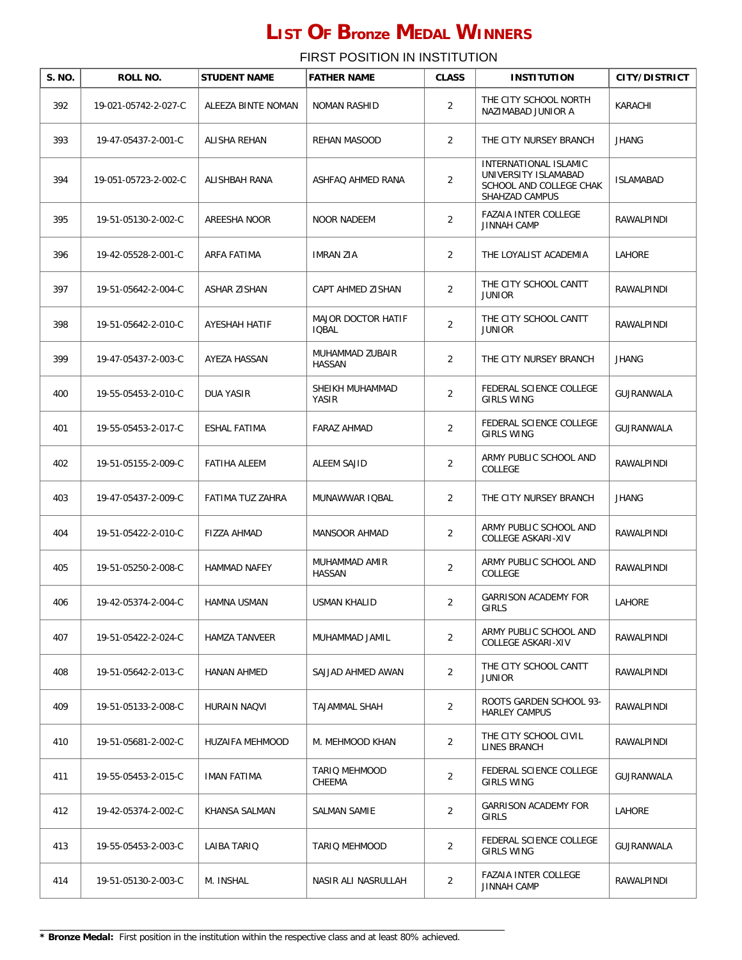| S. NO. | ROLL NO.             | <b>STUDENT NAME</b>  | <b>FATHER NAME</b>                        | <b>CLASS</b>   | <b>INSTITUTION</b>                                                                         | <b>CITY/DISTRICT</b> |
|--------|----------------------|----------------------|-------------------------------------------|----------------|--------------------------------------------------------------------------------------------|----------------------|
| 392    | 19-021-05742-2-027-C | ALEEZA BINTE NOMAN   | NOMAN RASHID                              | 2              | THE CITY SCHOOL NORTH<br>NAZIMABAD JUNIOR A                                                | KARACHI              |
| 393    | 19-47-05437-2-001-C  | ALISHA REHAN         | REHAN MASOOD                              | 2              | THE CITY NURSEY BRANCH                                                                     | <b>JHANG</b>         |
| 394    | 19-051-05723-2-002-C | ALISHBAH RANA        | ASHFAQ AHMED RANA                         | 2              | INTERNATIONAL ISLAMIC<br>UNIVERSITY ISLAMABAD<br>SCHOOL AND COLLEGE CHAK<br>SHAHZAD CAMPUS | <b>ISLAMABAD</b>     |
| 395    | 19-51-05130-2-002-C  | AREESHA NOOR         | <b>NOOR NADEEM</b>                        | $\overline{2}$ | FAZAIA INTER COLLEGE<br><b>JINNAH CAMP</b>                                                 | RAWALPINDI           |
| 396    | 19-42-05528-2-001-C  | ARFA FATIMA          | <b>IMRAN ZIA</b>                          | 2              | THE LOYALIST ACADEMIA                                                                      | LAHORE               |
| 397    | 19-51-05642-2-004-C  | ASHAR ZISHAN         | CAPT AHMED ZISHAN                         | 2              | THE CITY SCHOOL CANTT<br><b>JUNIOR</b>                                                     | RAWALPINDI           |
| 398    | 19-51-05642-2-010-C  | AYESHAH HATIF        | <b>MAJOR DOCTOR HATIF</b><br><b>IOBAL</b> | $\overline{2}$ | THE CITY SCHOOL CANTT<br><b>JUNIOR</b>                                                     | RAWALPINDI           |
| 399    | 19-47-05437-2-003-C  | AYEZA HASSAN         | MUHAMMAD ZUBAIR<br><b>HASSAN</b>          | 2              | THE CITY NURSEY BRANCH                                                                     | JHANG                |
| 400    | 19-55-05453-2-010-C  | <b>DUA YASIR</b>     | SHEIKH MUHAMMAD<br>YASIR                  | $\overline{2}$ | FEDERAL SCIENCE COLLEGE<br><b>GIRLS WING</b>                                               | <b>GUJRANWALA</b>    |
| 401    | 19-55-05453-2-017-C  | ESHAL FATIMA         | FARAZ AHMAD                               | $\overline{2}$ | FEDERAL SCIENCE COLLEGE<br><b>GIRLS WING</b>                                               | GUJRANWALA           |
| 402    | 19-51-05155-2-009-C  | FATIHA ALEEM         | ALEEM SAJID                               | 2              | ARMY PUBLIC SCHOOL AND<br>COLLEGE                                                          | RAWALPINDI           |
| 403    | 19-47-05437-2-009-C  | FATIMA TUZ ZAHRA     | MUNAWWAR IQBAL                            | $\overline{2}$ | THE CITY NURSEY BRANCH                                                                     | JHANG                |
| 404    | 19-51-05422-2-010-C  | FIZZA AHMAD          | <b>MANSOOR AHMAD</b>                      | 2              | ARMY PUBLIC SCHOOL AND<br>COLLEGE ASKARI-XIV                                               | RAWALPINDI           |
| 405    | 19-51-05250-2-008-C  | <b>HAMMAD NAFEY</b>  | MUHAMMAD AMIR<br><b>HASSAN</b>            | $\overline{2}$ | ARMY PUBLIC SCHOOL AND<br>COLLEGE                                                          | RAWALPINDI           |
| 406    | 19-42-05374-2-004-C  | HAMNA USMAN          | <b>USMAN KHALID</b>                       | 2              | <b>GARRISON ACADEMY FOR</b><br>GIRLS                                                       | LAHORE               |
| 407    | 19-51-05422-2-024-C  | <b>HAMZA TANVEER</b> | MUHAMMAD JAMIL                            | $\overline{2}$ | ARMY PUBLIC SCHOOL AND<br>COLLEGE ASKARI-XIV                                               | RAWALPINDI           |
| 408    | 19-51-05642-2-013-C  | HANAN AHMED          | SAJJAD AHMED AWAN                         | $\overline{2}$ | THE CITY SCHOOL CANTT<br><b>JUNIOR</b>                                                     | RAWALPINDI           |
| 409    | 19-51-05133-2-008-C  | <b>HURAIN NAQVI</b>  | TAJAMMAL SHAH                             | $\overline{2}$ | ROOTS GARDEN SCHOOL 93-<br><b>HARLEY CAMPUS</b>                                            | RAWALPINDI           |
| 410    | 19-51-05681-2-002-C  | HUZAIFA MEHMOOD      | M. MEHMOOD KHAN                           | $\overline{2}$ | THE CITY SCHOOL CIVIL<br>LINES BRANCH                                                      | RAWALPINDI           |
| 411    | 19-55-05453-2-015-C  | <b>IMAN FATIMA</b>   | TARIQ MEHMOOD<br>CHEEMA                   | $\overline{2}$ | FEDERAL SCIENCE COLLEGE<br><b>GIRLS WING</b>                                               | GUJRANWALA           |
| 412    | 19-42-05374-2-002-C  | KHANSA SALMAN        | SALMAN SAMIE                              | $\overline{2}$ | <b>GARRISON ACADEMY FOR</b><br><b>GIRLS</b>                                                | LAHORE               |
| 413    | 19-55-05453-2-003-C  | LAIBA TARIQ          | TARIQ MEHMOOD                             | $\overline{2}$ | FEDERAL SCIENCE COLLEGE<br><b>GIRLS WING</b>                                               | GUJRANWALA           |
| 414    | 19-51-05130-2-003-C  | M. INSHAL            | NASIR ALI NASRULLAH                       | $\overline{2}$ | <b>FAZAIA INTER COLLEGE</b><br><b>JINNAH CAMP</b>                                          | RAWALPINDI           |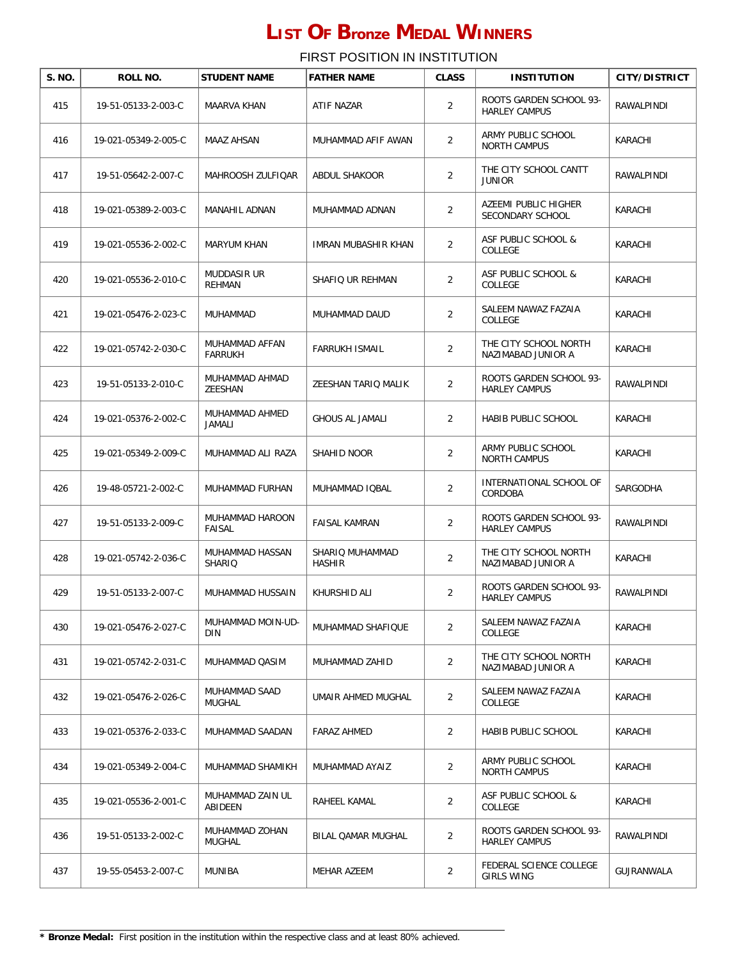| S. NO. | ROLL NO.             | <b>STUDENT NAME</b>              | <b>FATHER NAME</b>               | <b>CLASS</b>   | <b>INSTITUTION</b>                              | <b>CITY/DISTRICT</b> |
|--------|----------------------|----------------------------------|----------------------------------|----------------|-------------------------------------------------|----------------------|
| 415    | 19-51-05133-2-003-C  | MAARVA KHAN                      | ATIF NAZAR                       | $\overline{2}$ | ROOTS GARDEN SCHOOL 93-<br><b>HARLEY CAMPUS</b> | RAWALPINDI           |
| 416    | 19-021-05349-2-005-C | <b>MAAZ AHSAN</b>                | MUHAMMAD AFIF AWAN               | $\overline{2}$ | ARMY PUBLIC SCHOOL<br><b>NORTH CAMPUS</b>       | KARACHI              |
| 417    | 19-51-05642-2-007-C  | MAHROOSH ZULFIQAR                | ABDUL SHAKOOR                    | $\overline{2}$ | THE CITY SCHOOL CANTT<br><b>JUNIOR</b>          | RAWALPINDI           |
| 418    | 19-021-05389-2-003-C | MANAHIL ADNAN                    | MUHAMMAD ADNAN                   | 2              | AZEEMI PUBLIC HIGHER<br>SECONDARY SCHOOL        | KARACHI              |
| 419    | 19-021-05536-2-002-C | MARYUM KHAN                      | IMRAN MUBASHIR KHAN              | 2              | ASF PUBLIC SCHOOL &<br>COLLEGE                  | KARACHI              |
| 420    | 19-021-05536-2-010-C | MUDDASIR UR<br><b>REHMAN</b>     | SHAFIQ UR REHMAN                 | $\overline{2}$ | ASF PUBLIC SCHOOL &<br><b>COLLEGE</b>           | KARACHI              |
| 421    | 19-021-05476-2-023-C | MUHAMMAD                         | MUHAMMAD DAUD                    | $\overline{2}$ | SALEEM NAWAZ FAZAIA<br><b>COLLEGE</b>           | KARACHI              |
| 422    | 19-021-05742-2-030-C | MUHAMMAD AFFAN<br><b>FARRUKH</b> | <b>FARRUKH ISMAIL</b>            | $\overline{2}$ | THE CITY SCHOOL NORTH<br>NAZIMABAD JUNIOR A     | KARACHI              |
| 423    | 19-51-05133-2-010-C  | MUHAMMAD AHMAD<br><b>ZEESHAN</b> | ZEESHAN TARIQ MALIK              | $\overline{2}$ | ROOTS GARDEN SCHOOL 93-<br><b>HARLEY CAMPUS</b> | RAWALPINDI           |
| 424    | 19-021-05376-2-002-C | MUHAMMAD AHMED<br>JAMALI         | <b>GHOUS AL JAMALI</b>           | $\overline{2}$ | HABIB PUBLIC SCHOOL                             | KARACHI              |
| 425    | 19-021-05349-2-009-C | MUHAMMAD ALI RAZA                | SHAHID NOOR                      | $\overline{2}$ | ARMY PUBLIC SCHOOL<br>NORTH CAMPUS              | KARACHI              |
| 426    | 19-48-05721-2-002-C  | MUHAMMAD FURHAN                  | MUHAMMAD IQBAL                   | $\overline{2}$ | INTERNATIONAL SCHOOL OF<br>CORDOBA              | SARGODHA             |
| 427    | 19-51-05133-2-009-C  | MUHAMMAD HAROON<br>FAISAL        | <b>FAISAL KAMRAN</b>             | $\overline{2}$ | ROOTS GARDEN SCHOOL 93-<br><b>HARLEY CAMPUS</b> | RAWALPINDI           |
| 428    | 19-021-05742-2-036-C | MUHAMMAD HASSAN<br>SHARIQ        | SHARIQ MUHAMMAD<br><b>HASHIR</b> | 2              | THE CITY SCHOOL NORTH<br>NAZIMABAD JUNIOR A     | KARACHI              |
| 429    | 19-51-05133-2-007-C  | MUHAMMAD HUSSAIN                 | KHURSHID ALI                     | $\overline{2}$ | ROOTS GARDEN SCHOOL 93-<br><b>HARLEY CAMPUS</b> | RAWALPINDI           |
| 430    | 19-021-05476-2-027-C | MUHAMMAD MOIN-UD-<br><b>DIN</b>  | MUHAMMAD SHAFIQUE                | $\overline{2}$ | SALEEM NAWAZ FAZAIA<br>COLLEGE                  | KARACHI              |
| 431    | 19-021-05742-2-031-C | MUHAMMAD QASIM                   | MUHAMMAD ZAHID                   | $\overline{2}$ | THE CITY SCHOOL NORTH<br>NAZIMABAD JUNIOR A     | KARACHI              |
| 432    | 19-021-05476-2-026-C | MUHAMMAD SAAD<br>MUGHAL          | UMAIR AHMED MUGHAL               | $\overline{2}$ | SALEEM NAWAZ FAZAIA<br>COLLEGE                  | KARACHI              |
| 433    | 19-021-05376-2-033-C | MUHAMMAD SAADAN                  | <b>FARAZ AHMED</b>               | $\overline{2}$ | HABIB PUBLIC SCHOOL                             | KARACHI              |
| 434    | 19-021-05349-2-004-C | MUHAMMAD SHAMIKH                 | MUHAMMAD AYAIZ                   | $\overline{2}$ | ARMY PUBLIC SCHOOL<br><b>NORTH CAMPUS</b>       | KARACHI              |
| 435    | 19-021-05536-2-001-C | MUHAMMAD ZAIN UL<br>ABIDEEN      | RAHEEL KAMAL                     | $\overline{2}$ | ASF PUBLIC SCHOOL &<br>COLLEGE                  | KARACHI              |
| 436    | 19-51-05133-2-002-C  | MUHAMMAD ZOHAN<br>MUGHAL         | BILAL QAMAR MUGHAL               | $\overline{2}$ | ROOTS GARDEN SCHOOL 93-<br><b>HARLEY CAMPUS</b> | RAWALPINDI           |
| 437    | 19-55-05453-2-007-C  | MUNIBA                           | MEHAR AZEEM                      | $\overline{2}$ | FEDERAL SCIENCE COLLEGE<br><b>GIRLS WING</b>    | GUJRANWALA           |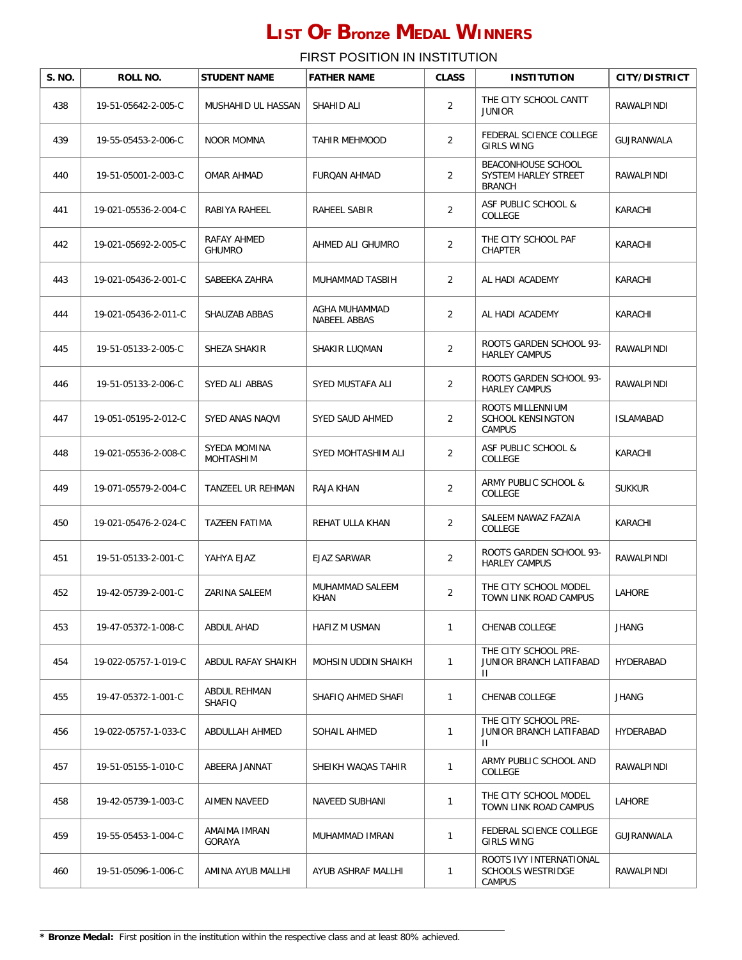| S. NO. | ROLL NO.             | <b>STUDENT NAME</b>                  | <b>FATHER NAME</b>            | <b>CLASS</b>   | <b>INSTITUTION</b>                                                   | <b>CITY/DISTRICT</b> |
|--------|----------------------|--------------------------------------|-------------------------------|----------------|----------------------------------------------------------------------|----------------------|
| 438    | 19-51-05642-2-005-C  | MUSHAHID UL HASSAN                   | SHAHID ALI                    | $\overline{2}$ | THE CITY SCHOOL CANTT<br><b>JUNIOR</b>                               | RAWALPINDI           |
| 439    | 19-55-05453-2-006-C  | <b>NOOR MOMNA</b>                    | <b>TAHIR MEHMOOD</b>          | $\overline{2}$ | FEDERAL SCIENCE COLLEGE<br><b>GIRLS WING</b>                         | GUJRANWALA           |
| 440    | 19-51-05001-2-003-C  | OMAR AHMAD                           | <b>FURQAN AHMAD</b>           | 2              | BEACONHOUSE SCHOOL<br>SYSTEM HARLEY STREET<br><b>BRANCH</b>          | RAWALPINDI           |
| 441    | 19-021-05536-2-004-C | RABIYA RAHEEL                        | RAHEEL SABIR                  | $\overline{a}$ | ASF PUBLIC SCHOOL &<br><b>COLLEGE</b>                                | KARACHI              |
| 442    | 19-021-05692-2-005-C | RAFAY AHMED<br><b>GHUMRO</b>         | AHMED ALI GHUMRO              | 2              | THE CITY SCHOOL PAF<br>CHAPTER                                       | KARACHI              |
| 443    | 19-021-05436-2-001-C | SABEEKA ZAHRA                        | MUHAMMAD TASBIH               | 2              | AL HADI ACADEMY                                                      | KARACHI              |
| 444    | 19-021-05436-2-011-C | SHAUZAB ABBAS                        | AGHA MUHAMMAD<br>NABEEL ABBAS | $\overline{2}$ | AL HADI ACADEMY                                                      | KARACHI              |
| 445    | 19-51-05133-2-005-C  | SHEZA SHAKIR                         | SHAKIR LUQMAN                 | $\overline{2}$ | ROOTS GARDEN SCHOOL 93-<br><b>HARLEY CAMPUS</b>                      | RAWALPINDI           |
| 446    | 19-51-05133-2-006-C  | SYED ALI ABBAS                       | SYED MUSTAFA ALI              | $\overline{2}$ | ROOTS GARDEN SCHOOL 93-<br><b>HARLEY CAMPUS</b>                      | RAWALPINDI           |
| 447    | 19-051-05195-2-012-C | SYED ANAS NAQVI                      | SYED SAUD AHMED               | 2              | ROOTS MILLENNIUM<br><b>SCHOOL KENSINGTON</b><br><b>CAMPUS</b>        | <b>ISLAMABAD</b>     |
| 448    | 19-021-05536-2-008-C | SYEDA MOMINA<br><b>MOHTASHIM</b>     | SYED MOHTASHIM ALI            | $\overline{2}$ | ASF PUBLIC SCHOOL &<br>COLLEGE                                       | KARACHI              |
| 449    | 19-071-05579-2-004-C | TANZEEL UR REHMAN                    | RAJA KHAN                     | $\overline{2}$ | ARMY PUBLIC SCHOOL &<br>COLLEGE                                      | <b>SUKKUR</b>        |
| 450    | 19-021-05476-2-024-C | TAZEEN FATIMA                        | REHAT ULLA KHAN               | $\overline{2}$ | SALEEM NAWAZ FAZAIA<br>COLLEGE                                       | KARACHI              |
| 451    | 19-51-05133-2-001-C  | YAHYA EJAZ                           | EJAZ SARWAR                   | $\overline{2}$ | ROOTS GARDEN SCHOOL 93-<br><b>HARLEY CAMPUS</b>                      | RAWALPINDI           |
| 452    | 19-42-05739-2-001-C  | ZARINA SALEEM                        | MUHAMMAD SALEEM<br>KHAN       | 2              | THE CITY SCHOOL MODEL<br>TOWN LINK ROAD CAMPUS                       | LAHORE               |
| 453    | 19-47-05372-1-008-C  | ABDUL AHAD                           | HAFIZ M USMAN                 | 1              | CHENAB COLLEGE                                                       | <b>JHANG</b>         |
| 454    | 19-022-05757-1-019-C | ABDUL RAFAY SHAIKH                   | MOHSIN UDDIN SHAIKH           | 1              | THE CITY SCHOOL PRE-<br>JUNIOR BRANCH LATIFABAD<br>Ш                 | HYDERABAD            |
| 455    | 19-47-05372-1-001-C  | <b>ABDUL REHMAN</b><br><b>SHAFIQ</b> | SHAFIQ AHMED SHAFI            | $\mathbf{1}$   | <b>CHENAB COLLEGE</b>                                                | <b>JHANG</b>         |
| 456    | 19-022-05757-1-033-C | ABDULLAH AHMED                       | SOHAIL AHMED                  | $\mathbf{1}$   | THE CITY SCHOOL PRE-<br>JUNIOR BRANCH LATIFABAD<br>$\mathbf{H}$      | HYDERABAD            |
| 457    | 19-51-05155-1-010-C  | ABEERA JANNAT                        | SHEIKH WAQAS TAHIR            | 1              | ARMY PUBLIC SCHOOL AND<br>COLLEGE                                    | RAWALPINDI           |
| 458    | 19-42-05739-1-003-C  | AIMEN NAVEED                         | NAVEED SUBHANI                | 1              | THE CITY SCHOOL MODEL<br>TOWN LINK ROAD CAMPUS                       | LAHORE               |
| 459    | 19-55-05453-1-004-C  | AMAIMA IMRAN<br>GORAYA               | MUHAMMAD IMRAN                | 1              | FEDERAL SCIENCE COLLEGE<br><b>GIRLS WING</b>                         | GUJRANWALA           |
| 460    | 19-51-05096-1-006-C  | AMINA AYUB MALLHI                    | AYUB ASHRAF MALLHI            | $\mathbf{1}$   | ROOTS IVY INTERNATIONAL<br><b>SCHOOLS WESTRIDGE</b><br><b>CAMPUS</b> | RAWALPINDI           |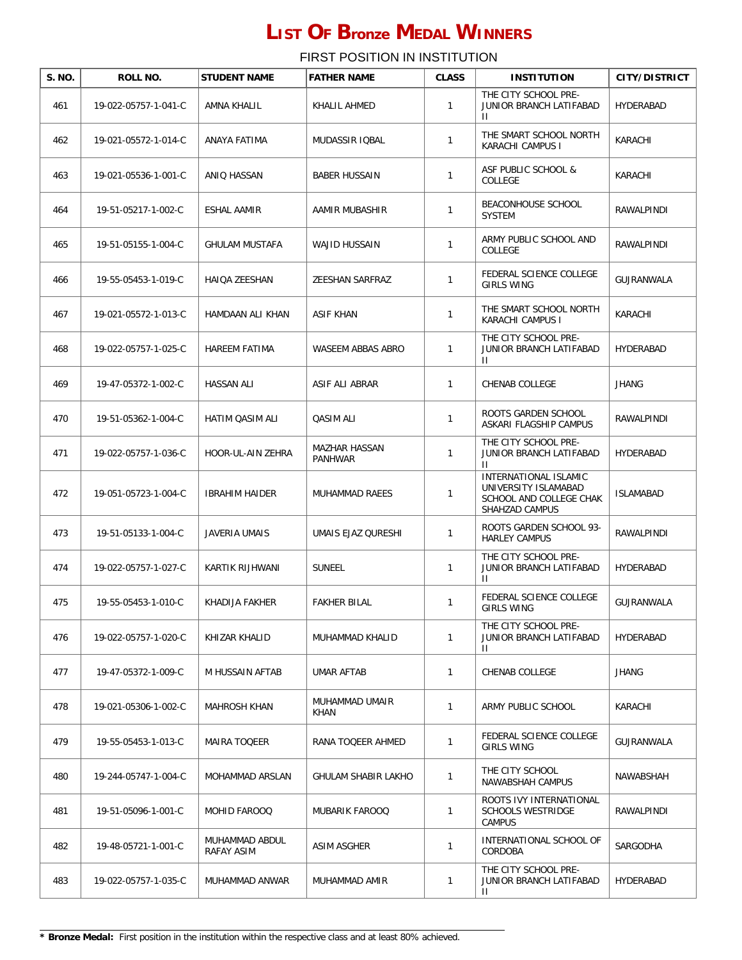| S. NO. | ROLL NO.             | <b>STUDENT NAME</b>          | <b>FATHER NAME</b>       | <b>CLASS</b> | <b>INSTITUTION</b>                                                                         | <b>CITY/DISTRICT</b> |
|--------|----------------------|------------------------------|--------------------------|--------------|--------------------------------------------------------------------------------------------|----------------------|
| 461    | 19-022-05757-1-041-C | AMNA KHALIL                  | KHALIL AHMED             | 1            | THE CITY SCHOOL PRE-<br>JUNIOR BRANCH LATIFABAD<br>$\mathbf{H}$                            | <b>HYDERABAD</b>     |
| 462    | 19-021-05572-1-014-C | ANAYA FATIMA                 | MUDASSIR IQBAL           | 1            | THE SMART SCHOOL NORTH<br>KARACHI CAMPUS I                                                 | KARACHI              |
| 463    | 19-021-05536-1-001-C | ANIQ HASSAN                  | BABER HUSSAIN            | 1            | ASF PUBLIC SCHOOL &<br>COLLEGE                                                             | KARACHI              |
| 464    | 19-51-05217-1-002-C  | ESHAL AAMIR                  | AAMIR MUBASHIR           | $\mathbf{1}$ | <b>BEACONHOUSE SCHOOL</b><br><b>SYSTEM</b>                                                 | RAWALPINDI           |
| 465    | 19-51-05155-1-004-C  | GHULAM MUSTAFA               | WAJID HUSSAIN            | 1            | ARMY PUBLIC SCHOOL AND<br>COLLEGE                                                          | RAWALPINDI           |
| 466    | 19-55-05453-1-019-C  | HAIQA ZEESHAN                | ZEESHAN SARFRAZ          | $\mathbf{1}$ | FEDERAL SCIENCE COLLEGE<br><b>GIRLS WING</b>                                               | GUJRANWALA           |
| 467    | 19-021-05572-1-013-C | HAMDAAN ALI KHAN             | <b>ASIF KHAN</b>         | 1            | THE SMART SCHOOL NORTH<br>KARACHI CAMPUS I                                                 | KARACHI              |
| 468    | 19-022-05757-1-025-C | <b>HAREEM FATIMA</b>         | WASEEM ABBAS ABRO        | 1            | THE CITY SCHOOL PRE-<br><b>JUNIOR BRANCH LATIFABAD</b><br>$\mathbf{H}$                     | HYDERABAD            |
| 469    | 19-47-05372-1-002-C  | <b>HASSAN ALI</b>            | ASIF ALI ABRAR           | 1            | CHENAB COLLEGE                                                                             | <b>JHANG</b>         |
| 470    | 19-51-05362-1-004-C  | HATIM QASIM ALI              | QASIM ALI                | 1            | ROOTS GARDEN SCHOOL<br>ASKARI FLAGSHIP CAMPUS                                              | RAWALPINDI           |
| 471    | 19-022-05757-1-036-C | HOOR-UL-AIN ZEHRA            | MAZHAR HASSAN<br>PANHWAR | $\mathbf{1}$ | THE CITY SCHOOL PRE-<br>JUNIOR BRANCH LATIFABAD<br>$\mathbf{H}$                            | HYDERABAD            |
| 472    | 19-051-05723-1-004-C | <b>IBRAHIM HAIDER</b>        | MUHAMMAD RAEES           | 1            | INTERNATIONAL ISLAMIC<br>UNIVERSITY ISLAMABAD<br>SCHOOL AND COLLEGE CHAK<br>SHAHZAD CAMPUS | ISLAMABAD            |
| 473    | 19-51-05133-1-004-C  | <b>JAVERIA UMAIS</b>         | UMAIS EJAZ QURESHI       | $\mathbf{1}$ | ROOTS GARDEN SCHOOL 93-<br><b>HARLEY CAMPUS</b>                                            | RAWALPINDI           |
| 474    | 19-022-05757-1-027-C | KARTIK RIJHWANI              | SUNEEL                   | 1            | THE CITY SCHOOL PRE-<br>JUNIOR BRANCH LATIFABAD<br>$\mathbf{H}$                            | HYDERABAD            |
| 475    | 19-55-05453-1-010-C  | KHADIJA FAKHER               | <b>FAKHER BILAL</b>      | 1            | FEDERAL SCIENCE COLLEGE<br><b>GIRLS WING</b>                                               | GUJRANWALA           |
| 476    | 19-022-05757-1-020-C | KHIZAR KHALID                | MUHAMMAD KHALID          | $\mathbf{1}$ | THE CITY SCHOOL PRE-<br><b>JUNIOR BRANCH LATIFABAD</b><br>H.                               | HYDERABAD            |
| 477    | 19-47-05372-1-009-C  | M HUSSAIN AFTAB              | <b>UMAR AFTAB</b>        | $\mathbf{1}$ | CHENAB COLLEGE                                                                             | JHANG                |
| 478    | 19-021-05306-1-002-C | <b>MAHROSH KHAN</b>          | MUHAMMAD UMAIR<br>KHAN   | $\mathbf{1}$ | ARMY PUBLIC SCHOOL                                                                         | KARACHI              |
| 479    | 19-55-05453-1-013-C  | MAIRA TOQEER                 | RANA TOQEER AHMED        | $\mathbf{1}$ | FEDERAL SCIENCE COLLEGE<br><b>GIRLS WING</b>                                               | GUJRANWALA           |
| 480    | 19-244-05747-1-004-C | MOHAMMAD ARSLAN              | GHULAM SHABIR LAKHO      | $\mathbf{1}$ | THE CITY SCHOOL<br>NAWABSHAH CAMPUS                                                        | NAWABSHAH            |
| 481    | 19-51-05096-1-001-C  | MOHID FAROOQ                 | MUBARIK FAROOQ           | 1            | ROOTS IVY INTERNATIONAL<br><b>SCHOOLS WESTRIDGE</b><br><b>CAMPUS</b>                       | RAWALPINDI           |
| 482    | 19-48-05721-1-001-C  | MUHAMMAD ABDUL<br>RAFAY ASIM | ASIM ASGHER              | 1            | INTERNATIONAL SCHOOL OF<br>CORDOBA                                                         | SARGODHA             |
| 483    | 19-022-05757-1-035-C | MUHAMMAD ANWAR               | MUHAMMAD AMIR            | 1            | THE CITY SCHOOL PRE-<br>JUNIOR BRANCH LATIFABAD<br>$\mathbf{H}$                            | HYDERABAD            |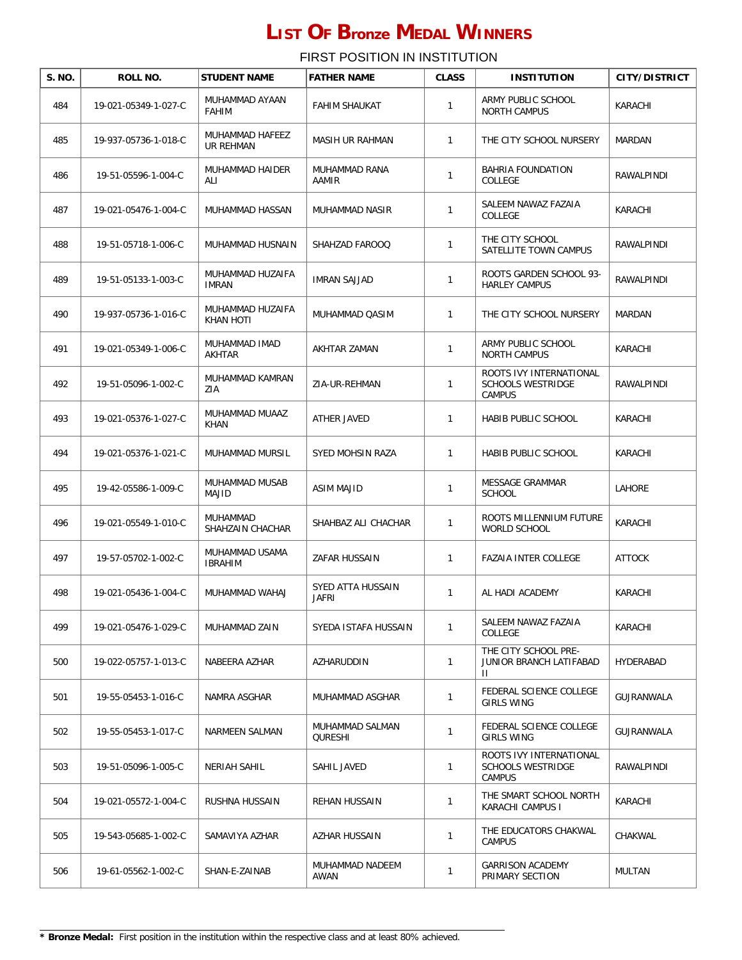| S. NO. | ROLL NO.             | <b>STUDENT NAME</b>                  | <b>FATHER NAME</b>                | <b>CLASS</b> | <b>INSTITUTION</b>                                              | <b>CITY/DISTRICT</b> |
|--------|----------------------|--------------------------------------|-----------------------------------|--------------|-----------------------------------------------------------------|----------------------|
| 484    | 19-021-05349-1-027-C | MUHAMMAD AYAAN<br><b>FAHIM</b>       | <b>FAHIM SHAUKAT</b>              | 1            | ARMY PUBLIC SCHOOL<br><b>NORTH CAMPUS</b>                       | KARACHI              |
| 485    | 19-937-05736-1-018-C | MUHAMMAD HAFEEZ<br><b>UR REHMAN</b>  | MASIH UR RAHMAN                   | $\mathbf{1}$ | THE CITY SCHOOL NURSERY                                         | <b>MARDAN</b>        |
| 486    | 19-51-05596-1-004-C  | MUHAMMAD HAIDER<br>ALI               | MUHAMMAD RANA<br>AAMIR            | 1            | BAHRIA FOUNDATION<br>COLLEGE                                    | RAWALPINDI           |
| 487    | 19-021-05476-1-004-C | MUHAMMAD HASSAN                      | MUHAMMAD NASIR                    | 1            | SALEEM NAWAZ FAZAIA<br>COLLEGE                                  | KARACHI              |
| 488    | 19-51-05718-1-006-C  | MUHAMMAD HUSNAIN                     | SHAHZAD FAROOQ                    | 1            | THE CITY SCHOOL<br>SATELLITE TOWN CAMPUS                        | RAWALPINDI           |
| 489    | 19-51-05133-1-003-C  | MUHAMMAD HUZAIFA<br><b>IMRAN</b>     | <b>IMRAN SAJJAD</b>               | 1            | ROOTS GARDEN SCHOOL 93-<br><b>HARLEY CAMPUS</b>                 | RAWALPINDI           |
| 490    | 19-937-05736-1-016-C | MUHAMMAD HUZAIFA<br><b>KHAN HOTI</b> | MUHAMMAD QASIM                    | 1            | THE CITY SCHOOL NURSERY                                         | MARDAN               |
| 491    | 19-021-05349-1-006-C | MUHAMMAD IMAD<br>AKHTAR              | AKHTAR ZAMAN                      | 1            | ARMY PUBLIC SCHOOL<br><b>NORTH CAMPUS</b>                       | KARACHI              |
| 492    | 19-51-05096-1-002-C  | MUHAMMAD KAMRAN<br>ZIA               | ZIA-UR-REHMAN                     | $\mathbf{1}$ | ROOTS IVY INTERNATIONAL<br><b>SCHOOLS WESTRIDGE</b><br>CAMPUS   | RAWALPINDI           |
| 493    | 19-021-05376-1-027-C | MUHAMMAD MUAAZ<br>KHAN               | ATHER JAVED                       | $\mathbf{1}$ | HABIB PUBLIC SCHOOL                                             | KARACHI              |
| 494    | 19-021-05376-1-021-C | MUHAMMAD MURSIL                      | SYED MOHSIN RAZA                  | $\mathbf{1}$ | HABIB PUBLIC SCHOOL                                             | KARACHI              |
| 495    | 19-42-05586-1-009-C  | MUHAMMAD MUSAB<br>MAJID              | <b>ASIM MAJID</b>                 | 1            | MESSAGE GRAMMAR<br><b>SCHOOL</b>                                | LAHORE               |
| 496    | 19-021-05549-1-010-C | MUHAMMAD<br>SHAHZAIN CHACHAR         | SHAHBAZ ALI CHACHAR               | 1            | ROOTS MILLENNIUM FUTURE<br>WORLD SCHOOL                         | KARACHI              |
| 497    | 19-57-05702-1-002-C  | MUHAMMAD USAMA<br><b>IBRAHIM</b>     | ZAFAR HUSSAIN                     | $\mathbf{1}$ | <b>FAZAIA INTER COLLEGE</b>                                     | <b>ATTOCK</b>        |
| 498    | 19-021-05436-1-004-C | MUHAMMAD WAHAJ                       | SYED ATTA HUSSAIN<br><b>JAFRI</b> | $\mathbf{1}$ | AL HADI ACADEMY                                                 | KARACHI              |
| 499    | 19-021-05476-1-029-C | MUHAMMAD ZAIN                        | SYEDA ISTAFA HUSSAIN              | $\mathbf{1}$ | SALEEM NAWAZ FAZAIA<br>COLLEGE                                  | KARACHI              |
| 500    | 19-022-05757-1-013-C | NABEERA AZHAR                        | AZHARUDDIN                        | 1            | THE CITY SCHOOL PRE-<br>JUNIOR BRANCH LATIFABAD<br>$\mathbf{H}$ | HYDERABAD            |
| 501    | 19-55-05453-1-016-C  | NAMRA ASGHAR                         | MUHAMMAD ASGHAR                   | 1            | FEDERAL SCIENCE COLLEGE<br><b>GIRLS WING</b>                    | GUJRANWALA           |
| 502    | 19-55-05453-1-017-C  | NARMEEN SALMAN                       | MUHAMMAD SALMAN<br>QURESHI        | 1            | FEDERAL SCIENCE COLLEGE<br>GIRLS WING                           | GUJRANWALA           |
| 503    | 19-51-05096-1-005-C  | NERIAH SAHIL                         | SAHIL JAVED                       | 1            | ROOTS IVY INTERNATIONAL<br><b>SCHOOLS WESTRIDGE</b><br>CAMPUS   | RAWALPINDI           |
| 504    | 19-021-05572-1-004-C | RUSHNA HUSSAIN                       | <b>REHAN HUSSAIN</b>              | 1            | THE SMART SCHOOL NORTH<br>KARACHI CAMPUS I                      | KARACHI              |
| 505    | 19-543-05685-1-002-C | SAMAVIYA AZHAR                       | AZHAR HUSSAIN                     | 1            | THE EDUCATORS CHAKWAL<br><b>CAMPUS</b>                          | CHAKWAL              |
| 506    | 19-61-05562-1-002-C  | SHAN-E-ZAINAB                        | MUHAMMAD NADEEM<br>AWAN           | $\mathbf{1}$ | <b>GARRISON ACADEMY</b><br>PRIMARY SECTION                      | <b>MULTAN</b>        |